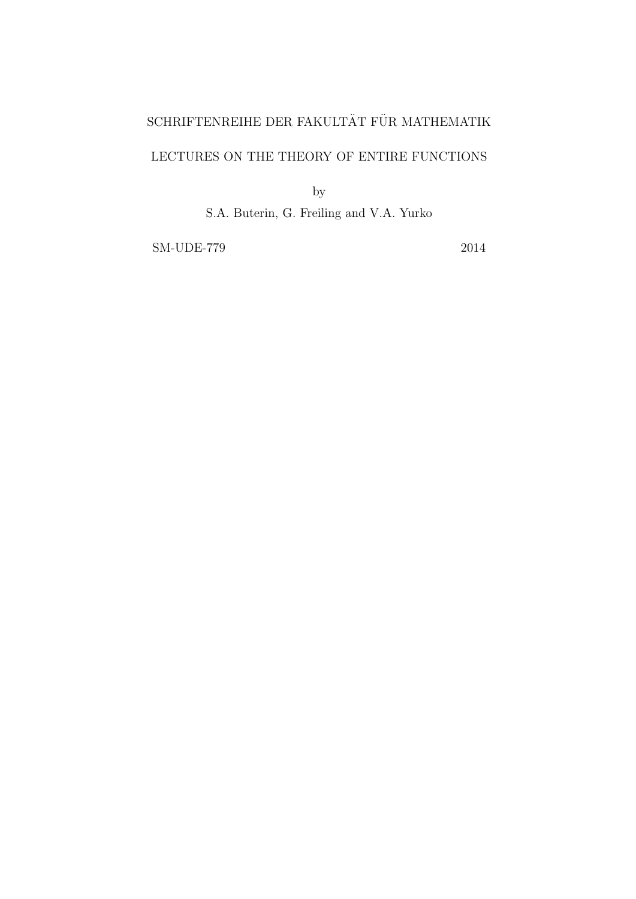# $\operatorname{SCHRIFTENREIHE}$ DER FAKULTÄT FÜR MATHEMATIK

# LECTURES ON THE THEORY OF ENTIRE FUNCTIONS

by

S.A. Buterin, G. Freiling and V.A. Yurko

SM-UDE-779 2014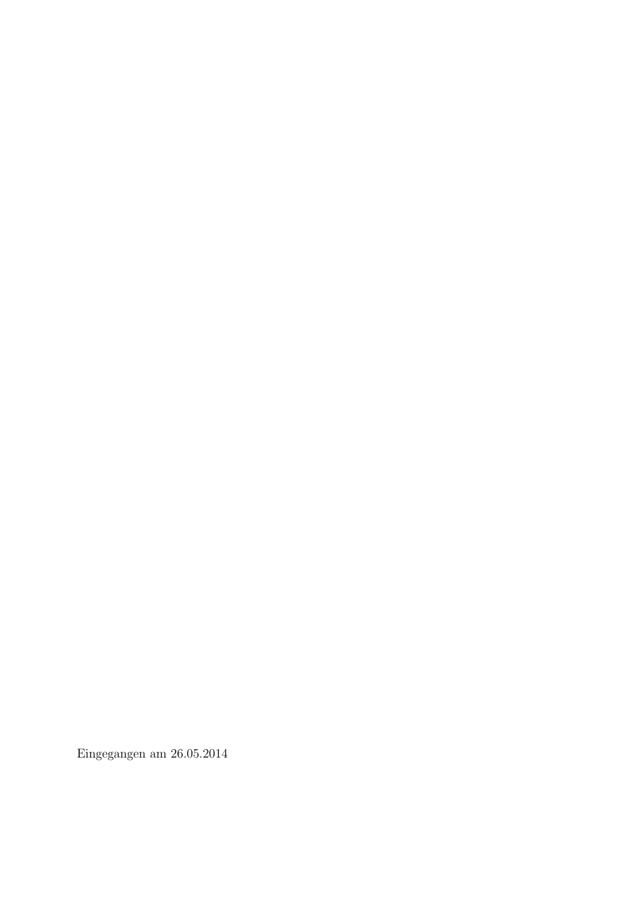Eingegangen am 26.05.2014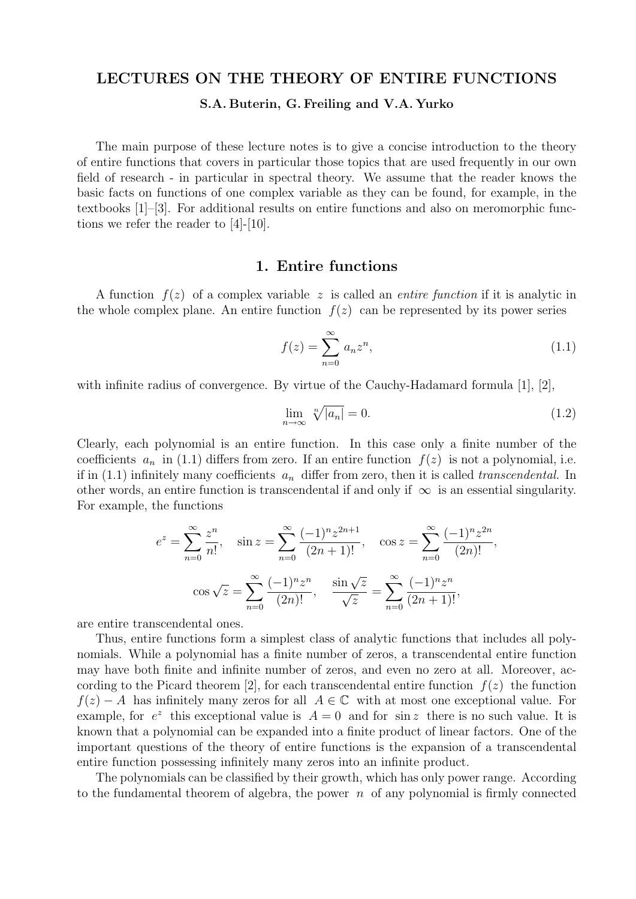# LECTURES ON THE THEORY OF ENTIRE FUNCTIONS

S.A. Buterin, G. Freiling and V.A. Yurko

The main purpose of these lecture notes is to give a concise introduction to the theory of entire functions that covers in particular those topics that are used frequently in our own field of research - in particular in spectral theory. We assume that the reader knows the basic facts on functions of one complex variable as they can be found, for example, in the textbooks [1]–[3]. For additional results on entire functions and also on meromorphic functions we refer the reader to [4]-[10].

#### 1. Entire functions

A function  $f(z)$  of a complex variable z is called an *entire function* if it is analytic in the whole complex plane. An entire function  $f(z)$  can be represented by its power series

$$
f(z) = \sum_{n=0}^{\infty} a_n z^n,
$$
\n(1.1)

with infinite radius of convergence. By virtue of the Cauchy-Hadamard formula [1], [2],

$$
\lim_{n \to \infty} \sqrt[n]{|a_n|} = 0. \tag{1.2}
$$

Clearly, each polynomial is an entire function. In this case only a finite number of the coefficients  $a_n$  in (1.1) differs from zero. If an entire function  $f(z)$  is not a polynomial, i.e. if in (1.1) infinitely many coefficients  $a_n$  differ from zero, then it is called transcendental. In other words, an entire function is transcendental if and only if  $\infty$  is an essential singularity. For example, the functions

$$
e^{z} = \sum_{n=0}^{\infty} \frac{z^{n}}{n!}, \quad \sin z = \sum_{n=0}^{\infty} \frac{(-1)^{n} z^{2n+1}}{(2n+1)!}, \quad \cos z = \sum_{n=0}^{\infty} \frac{(-1)^{n} z^{2n}}{(2n)!},
$$

$$
\cos \sqrt{z} = \sum_{n=0}^{\infty} \frac{(-1)^{n} z^{n}}{(2n)!}, \quad \frac{\sin \sqrt{z}}{\sqrt{z}} = \sum_{n=0}^{\infty} \frac{(-1)^{n} z^{n}}{(2n+1)!},
$$

are entire transcendental ones.

Thus, entire functions form a simplest class of analytic functions that includes all polynomials. While a polynomial has a finite number of zeros, a transcendental entire function may have both finite and infinite number of zeros, and even no zero at all. Moreover, according to the Picard theorem [2], for each transcendental entire function  $f(z)$  the function  $f(z) - A$  has infinitely many zeros for all  $A \in \mathbb{C}$  with at most one exceptional value. For example, for  $e^z$  this exceptional value is  $A = 0$  and for sin z there is no such value. It is known that a polynomial can be expanded into a finite product of linear factors. One of the important questions of the theory of entire functions is the expansion of a transcendental entire function possessing infinitely many zeros into an infinite product.

The polynomials can be classified by their growth, which has only power range. According to the fundamental theorem of algebra, the power  $n$  of any polynomial is firmly connected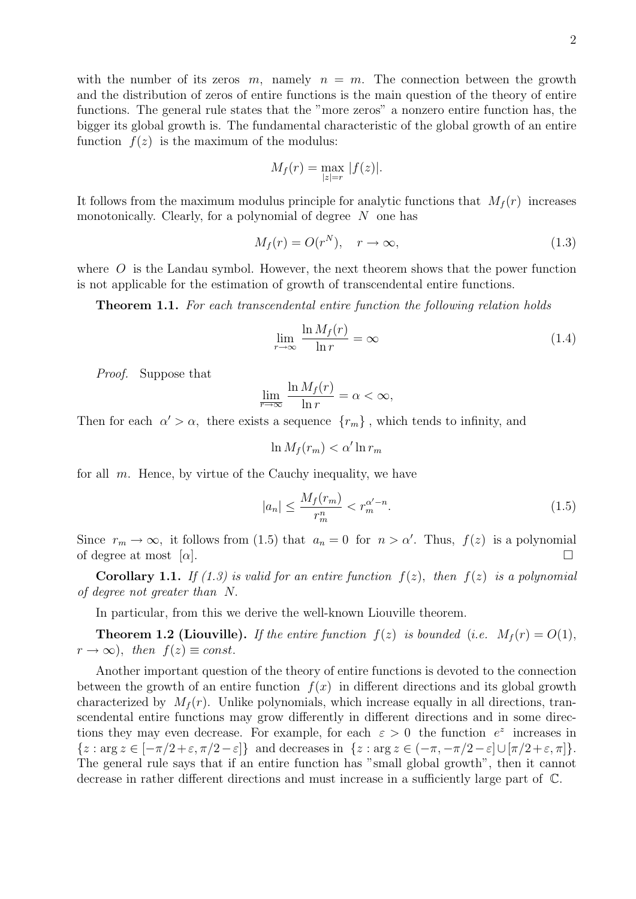with the number of its zeros m, namely  $n = m$ . The connection between the growth and the distribution of zeros of entire functions is the main question of the theory of entire functions. The general rule states that the "more zeros" a nonzero entire function has, the bigger its global growth is. The fundamental characteristic of the global growth of an entire function  $f(z)$  is the maximum of the modulus:

$$
M_f(r) = \max_{|z|=r} |f(z)|.
$$

It follows from the maximum modulus principle for analytic functions that  $M_f(r)$  increases monotonically. Clearly, for a polynomial of degree  $N$  one has

$$
M_f(r) = O(r^N), \quad r \to \infty,
$$
\n(1.3)

where  $O$  is the Landau symbol. However, the next theorem shows that the power function is not applicable for the estimation of growth of transcendental entire functions.

Theorem 1.1. For each transcendental entire function the following relation holds

$$
\lim_{r \to \infty} \frac{\ln M_f(r)}{\ln r} = \infty \tag{1.4}
$$

Proof. Suppose that

$$
\lim_{\overline{r}\to\infty}\frac{\ln M_f(r)}{\ln r}=\alpha<\infty,
$$

Then for each  $\alpha' > \alpha$ , there exists a sequence  $\{r_m\}$ , which tends to infinity, and

$$
\ln M_f(r_m) < \alpha' \ln r_m
$$

for all  $m$ . Hence, by virtue of the Cauchy inequality, we have

$$
|a_n| \le \frac{M_f(r_m)}{r_m^m} < r_m^{\alpha'-n}.\tag{1.5}
$$

Since  $r_m \to \infty$ , it follows from (1.5) that  $a_n = 0$  for  $n > \alpha'$ . Thus,  $f(z)$  is a polynomial of degree at most  $[\alpha]$ .

**Corollary 1.1.** If (1.3) is valid for an entire function  $f(z)$ , then  $f(z)$  is a polynomial of degree not greater than N.

In particular, from this we derive the well-known Liouville theorem.

**Theorem 1.2 (Liouville).** If the entire function  $f(z)$  is bounded (i.e.  $M_f(r) = O(1)$ ,  $r \to \infty$ ), then  $f(z) \equiv const.$ 

Another important question of the theory of entire functions is devoted to the connection between the growth of an entire function  $f(x)$  in different directions and its global growth characterized by  $M_f(r)$ . Unlike polynomials, which increase equally in all directions, transcendental entire functions may grow differently in different directions and in some directions they may even decrease. For example, for each  $\varepsilon > 0$  the function  $e^z$  increases in  $\{z : \arg z \in [-\pi/2 + \varepsilon, \pi/2 - \varepsilon]\}\$ and decreases in  $\{z : \arg z \in (-\pi, -\pi/2 - \varepsilon] \cup [\pi/2 + \varepsilon, \pi]\}.$ The general rule says that if an entire function has "small global growth", then it cannot decrease in rather different directions and must increase in a sufficiently large part of C.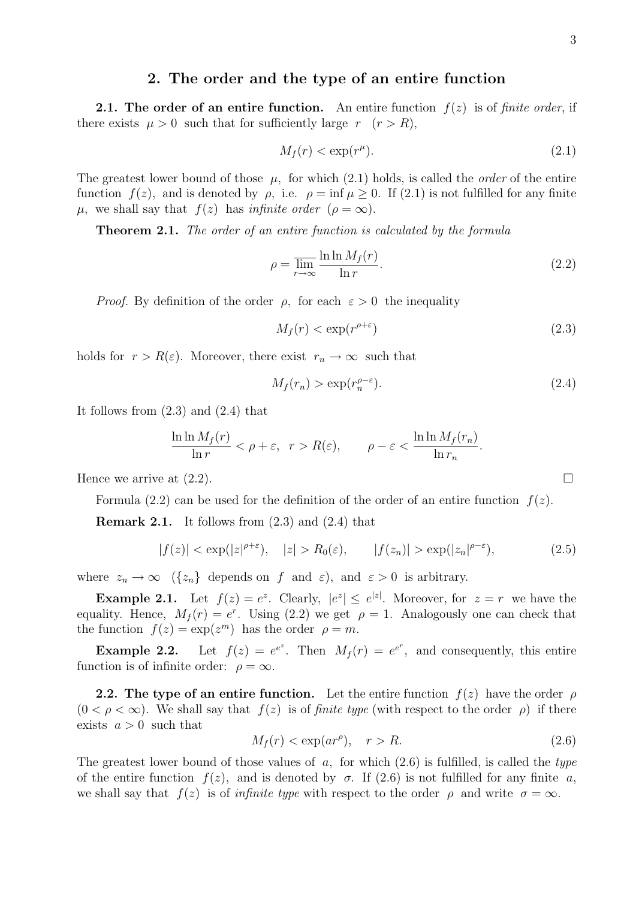# 2. The order and the type of an entire function

**2.1.** The order of an entire function. An entire function  $f(z)$  is of finite order, if there exists  $\mu > 0$  such that for sufficiently large  $r$   $(r > R)$ ,

$$
M_f(r) < \exp(r^\mu). \tag{2.1}
$$

The greatest lower bound of those  $\mu$ , for which (2.1) holds, is called the *order* of the entire function  $f(z)$ , and is denoted by  $\rho$ , i.e.  $\rho = \inf \mu > 0$ . If (2.1) is not fulfilled for any finite  $\mu$ , we shall say that  $f(z)$  has *infinite order* ( $\rho = \infty$ ).

**Theorem 2.1.** The order of an entire function is calculated by the formula

$$
\rho = \overline{\lim_{r \to \infty}} \frac{\ln \ln M_f(r)}{\ln r}.
$$
\n(2.2)

*Proof.* By definition of the order  $\rho$ , for each  $\varepsilon > 0$  the inequality

$$
M_f(r) < \exp(r^{\rho + \varepsilon})\tag{2.3}
$$

holds for  $r > R(\varepsilon)$ . Moreover, there exist  $r_n \to \infty$  such that

$$
M_f(r_n) > \exp(r_n^{\rho-\varepsilon}).\tag{2.4}
$$

It follows from (2.3) and (2.4) that

$$
\frac{\ln \ln M_f(r)}{\ln r} < \rho + \varepsilon, \quad r > R(\varepsilon), \qquad \rho - \varepsilon < \frac{\ln \ln M_f(r_n)}{\ln r_n}.
$$

Hence we arrive at  $(2.2)$ .

Formula  $(2.2)$  can be used for the definition of the order of an entire function  $f(z)$ .

**Remark 2.1.** It follows from  $(2.3)$  and  $(2.4)$  that

$$
|f(z)| < \exp(|z|^{\rho+\varepsilon}), \quad |z| > R_0(\varepsilon), \qquad |f(z_n)| > \exp(|z_n|^{\rho-\varepsilon}), \tag{2.5}
$$

where  $z_n \to \infty$  ( $\{z_n\}$ ) depends on f and  $\varepsilon$ ), and  $\varepsilon > 0$  is arbitrary.

**Example 2.1.** Let  $f(z) = e^z$ . Clearly,  $|e^z| \leq e^{|z|}$ . Moreover, for  $z = r$  we have the equality. Hence,  $M_f(r) = e^r$ . Using (2.2) we get  $\rho = 1$ . Analogously one can check that the function  $f(z) = \exp(z^m)$  has the order  $\rho = m$ .

**Example 2.2.** Let  $f(z) = e^{e^z}$ . Then  $M_f(r) = e^{e^r}$ , and consequently, this entire function is of infinite order:  $\rho = \infty$ .

**2.2. The type of an entire function.** Let the entire function  $f(z)$  have the order  $\rho$  $(0 < \rho < \infty)$ . We shall say that  $f(z)$  is of *finite type* (with respect to the order  $\rho$ ) if there exists  $a > 0$  such that

$$
M_f(r) < \exp(ar^\rho), \quad r > R. \tag{2.6}
$$

The greatest lower bound of those values of  $a$ , for which  $(2.6)$  is fulfilled, is called the type of the entire function  $f(z)$ , and is denoted by  $\sigma$ . If (2.6) is not fulfilled for any finite a, we shall say that  $f(z)$  is of *infinite type* with respect to the order  $\rho$  and write  $\sigma = \infty$ .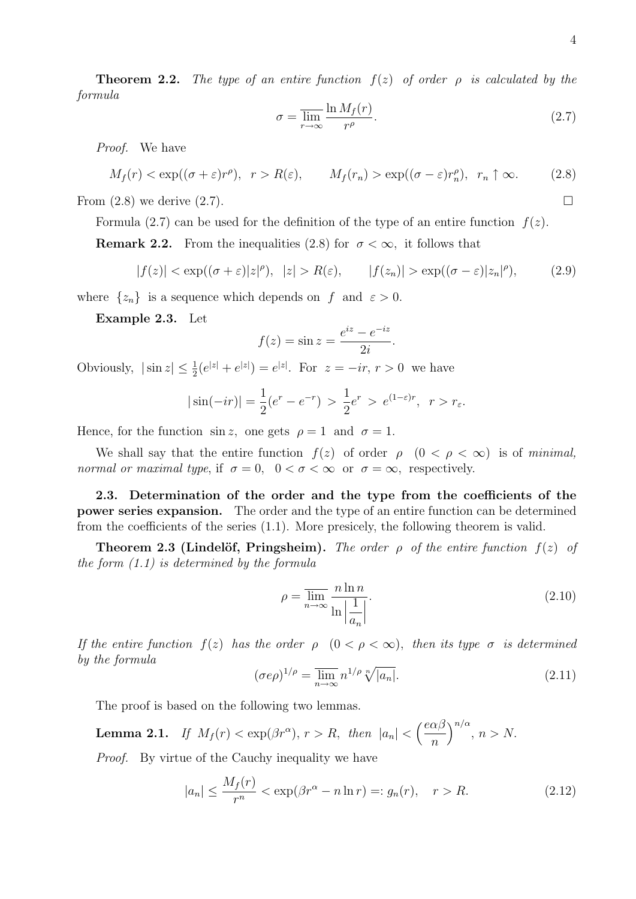**Theorem 2.2.** The type of an entire function  $f(z)$  of order  $\rho$  is calculated by the formula

$$
\sigma = \overline{\lim_{r \to \infty}} \frac{\ln M_f(r)}{r^{\rho}}.
$$
\n(2.7)

Proof. We have

$$
M_f(r) < \exp((\sigma + \varepsilon)r^{\rho}), \quad r > R(\varepsilon), \qquad M_f(r_n) > \exp((\sigma - \varepsilon)r_n^{\rho}), \quad r_n \uparrow \infty.
$$
 (2.8)

From  $(2.8)$  we derive  $(2.7)$ .

Formula (2.7) can be used for the definition of the type of an entire function  $f(z)$ .

**Remark 2.2.** From the inequalities (2.8) for  $\sigma < \infty$ , it follows that

$$
|f(z)| < \exp((\sigma + \varepsilon)|z|^{\rho}), \ |z| > R(\varepsilon), \qquad |f(z_n)| > \exp((\sigma - \varepsilon)|z_n|^{\rho}), \tag{2.9}
$$

where  $\{z_n\}$  is a sequence which depends on f and  $\varepsilon > 0$ .

Example 2.3. Let

$$
f(z) = \sin z = \frac{e^{iz} - e^{-iz}}{2i}.
$$

Obviously,  $|\sin z| \leq \frac{1}{2}(e^{|z|} + e^{|z|}) = e^{|z|}$ . For  $z = -ir, r > 0$  we have

$$
|\sin(-ir)| = \frac{1}{2}(e^r - e^{-r}) > \frac{1}{2}e^r > e^{(1-\epsilon)r}, \ r > r_{\epsilon}.
$$

Hence, for the function  $\sin z$ , one gets  $\rho = 1$  and  $\sigma = 1$ .

We shall say that the entire function  $f(z)$  of order  $\rho$   $(0 < \rho < \infty)$  is of minimal, normal or maximal type, if  $\sigma = 0$ ,  $0 < \sigma < \infty$  or  $\sigma = \infty$ , respectively.

2.3. Determination of the order and the type from the coefficients of the power series expansion. The order and the type of an entire function can be determined from the coefficients of the series (1.1). More presicely, the following theorem is valid.

Theorem 2.3 (Lindelöf, Pringsheim). The order  $\rho$  of the entire function  $f(z)$  of the form (1.1) is determined by the formula

$$
\rho = \overline{\lim_{n \to \infty}} \frac{n \ln n}{\ln \left| \frac{1}{a_n} \right|}.
$$
\n(2.10)

If the entire function  $f(z)$  has the order  $\rho$   $(0 < \rho < \infty)$ , then its type  $\sigma$  is determined by the formula

$$
(\sigma e\rho)^{1/\rho} = \overline{\lim}_{n \to \infty} n^{1/\rho} \sqrt[n]{|a_n|}.
$$
 (2.11)

The proof is based on the following two lemmas.

**Lemma 2.1.** If  $M_f(r) < \exp(\beta r^{\alpha})$ ,  $r > R$ , then  $|a_n| < \left(\frac{e\alpha\beta}{r}\right)^{\alpha}$ n  $\bigg\}^{n/\alpha}, n > N.$ 

Proof. By virtue of the Cauchy inequality we have

$$
|a_n| \le \frac{M_f(r)}{r^n} < \exp(\beta r^\alpha - n \ln r) =: g_n(r), \quad r > R. \tag{2.12}
$$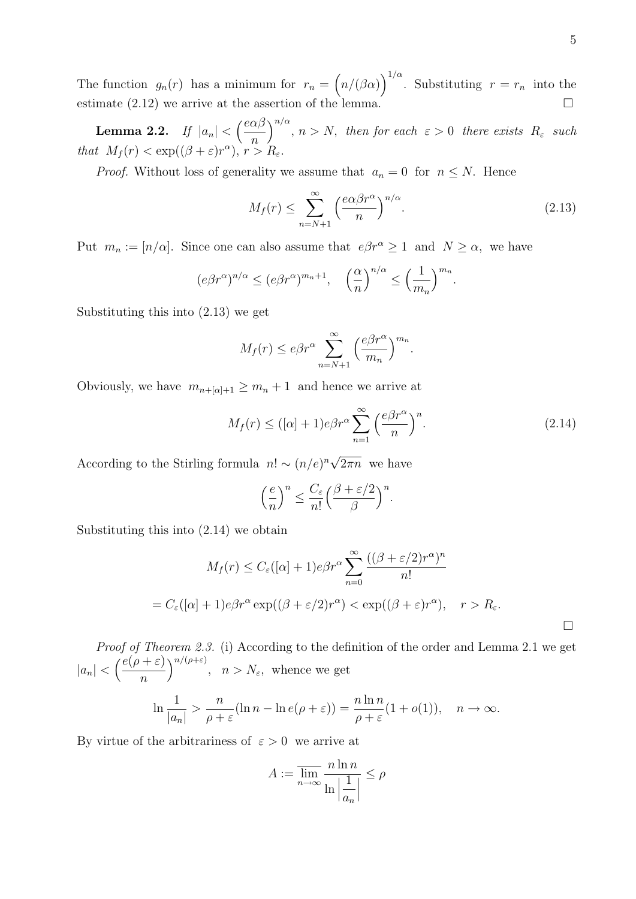The function  $g_n(r)$  has a minimum for  $r_n = (n/(\beta \alpha))^{1/\alpha}$ . Substituting  $r = r_n$  into the estimate  $(2.12)$  we arrive at the assertion of the lemma.

Lemma 2.2. If  $|a_n| < \left(\frac{e\alpha\beta}{\alpha}\right)$ n  $\bigg)^{n/\alpha}$ ,  $n > N$ , then for each  $\varepsilon > 0$  there exists  $R_{\varepsilon}$  such that  $M_f(r) < \exp((\beta + \varepsilon)r^{\alpha}), r > R_{\varepsilon}.$ 

*Proof.* Without loss of generality we assume that  $a_n = 0$  for  $n \leq N$ . Hence

$$
M_f(r) \le \sum_{n=N+1}^{\infty} \left(\frac{e\alpha\beta r^{\alpha}}{n}\right)^{n/\alpha}.
$$
\n(2.13)

Put  $m_n := [n/\alpha]$ . Since one can also assume that  $e\beta r^{\alpha} \geq 1$  and  $N \geq \alpha$ , we have

$$
(e\beta r^{\alpha})^{n/\alpha} \le (e\beta r^{\alpha})^{m_n+1}, \quad \left(\frac{\alpha}{n}\right)^{n/\alpha} \le \left(\frac{1}{m_n}\right)^{m_n}.
$$

Substituting this into (2.13) we get

$$
M_f(r) \leq e\beta r^{\alpha} \sum_{n=N+1}^{\infty} \left(\frac{e\beta r^{\alpha}}{m_n}\right)^{m_n}.
$$

Obviously, we have  $m_{n+[\alpha]+1} \geq m_n + 1$  and hence we arrive at

$$
M_f(r) \leq ([\alpha] + 1)e\beta r^{\alpha} \sum_{n=1}^{\infty} \left(\frac{e\beta r^{\alpha}}{n}\right)^n.
$$
 (2.14)

According to the Stirling formula  $n! \sim (n/e)^n \sqrt{\frac{n}{n}}$  $2\pi n$  we have

$$
\left(\frac{e}{n}\right)^n \le \frac{C_{\varepsilon}}{n!} \left(\frac{\beta + \varepsilon/2}{\beta}\right)^n.
$$

Substituting this into (2.14) we obtain

$$
M_f(r) \le C_{\varepsilon}([\alpha] + 1)e\beta r^{\alpha} \sum_{n=0}^{\infty} \frac{((\beta + \varepsilon/2)r^{\alpha})^n}{n!}
$$
  
=  $C_{\varepsilon}([\alpha] + 1)e\beta r^{\alpha} \exp((\beta + \varepsilon/2)r^{\alpha}) < \exp((\beta + \varepsilon)r^{\alpha}), \quad r > R_{\varepsilon}.$ 

Proof of Theorem 2.3. (i) According to the definition of the order and Lemma 2.1 we get  $|a_n| < \left(\frac{e(\rho + \varepsilon)}{n}\right)$ n  $\int^{n/(\rho+\varepsilon)}$ ,  $n > N_{\varepsilon}$ , whence we get

$$
\ln \frac{1}{|a_n|} > \frac{n}{\rho + \varepsilon} (\ln n - \ln e(\rho + \varepsilon)) = \frac{n \ln n}{\rho + \varepsilon} (1 + o(1)), \quad n \to \infty.
$$

By virtue of the arbitrariness of  $\varepsilon > 0$  we arrive at

$$
A:=\overline{\lim_{n\to\infty}}\frac{n\ln n}{\ln\left|\frac{1}{a_n}\right|}\leq\rho
$$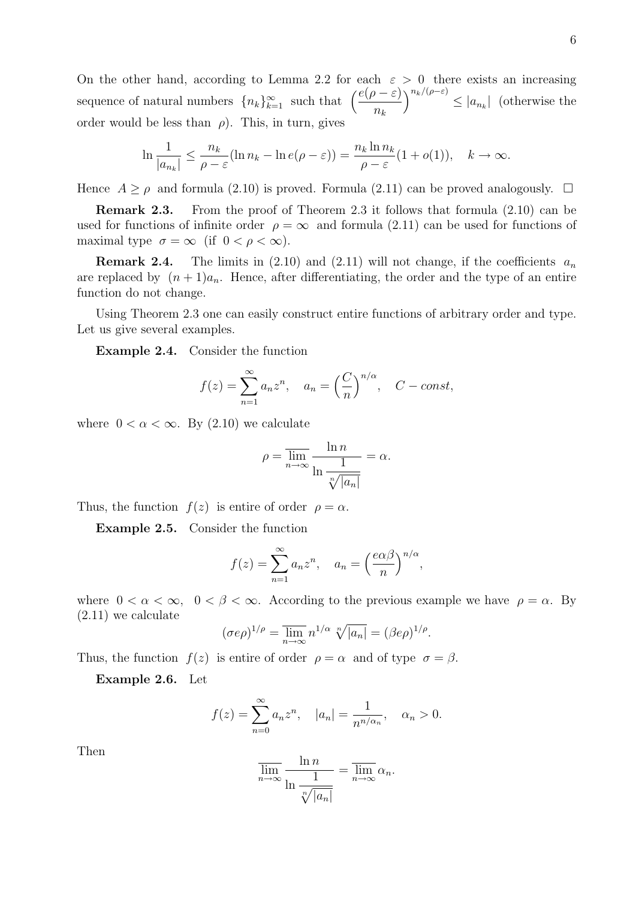On the other hand, according to Lemma 2.2 for each  $\varepsilon > 0$  there exists an increasing sequence of natural numbers  ${n_k}_{k=1}^{\infty}$  such that  $\left(\frac{e(\rho - \varepsilon)}{n_k}\right)$  $\int_{0}^{n_k/(\rho-\varepsilon)} \leq |a_{n_k}|$  (otherwise the order would be less than  $\rho$ ). This, in turn, gives

$$
\ln \frac{1}{|a_{n_k}|} \le \frac{n_k}{\rho - \varepsilon} (\ln n_k - \ln e(\rho - \varepsilon)) = \frac{n_k \ln n_k}{\rho - \varepsilon} (1 + o(1)), \quad k \to \infty.
$$

Hence  $A \ge \rho$  and formula (2.10) is proved. Formula (2.11) can be proved analogously.  $\Box$ 

Remark 2.3. From the proof of Theorem 2.3 it follows that formula (2.10) can be used for functions of infinite order  $\rho = \infty$  and formula (2.11) can be used for functions of maximal type  $\sigma = \infty$  (if  $0 < \rho < \infty$ ).

**Remark 2.4.** The limits in (2.10) and (2.11) will not change, if the coefficients  $a_n$ are replaced by  $(n+1)a_n$ . Hence, after differentiating, the order and the type of an entire function do not change.

Using Theorem 2.3 one can easily construct entire functions of arbitrary order and type. Let us give several examples.

Example 2.4. Consider the function

$$
f(z) = \sum_{n=1}^{\infty} a_n z^n, \quad a_n = \left(\frac{C}{n}\right)^{n/\alpha}, \quad C - const,
$$

where  $0 < \alpha < \infty$ . By  $(2.10)$  we calculate

$$
\rho = \overline{\lim_{n \to \infty}} \frac{\ln n}{\ln \frac{1}{\sqrt[n]{|a_n|}}} = \alpha.
$$

Thus, the function  $f(z)$  is entire of order  $\rho = \alpha$ .

Example 2.5. Consider the function

$$
f(z) = \sum_{n=1}^{\infty} a_n z^n, \quad a_n = \left(\frac{e\alpha\beta}{n}\right)^{n/\alpha},
$$

where  $0 < \alpha < \infty$ ,  $0 < \beta < \infty$ . According to the previous example we have  $\rho = \alpha$ . By (2.11) we calculate

$$
(\sigma e \rho)^{1/\rho} = \overline{\lim}_{n \to \infty} n^{1/\alpha} \sqrt[n]{|a_n|} = (\beta e \rho)^{1/\rho}.
$$

Thus, the function  $f(z)$  is entire of order  $\rho = \alpha$  and of type  $\sigma = \beta$ .

Example 2.6. Let

$$
f(z) = \sum_{n=0}^{\infty} a_n z^n
$$
,  $|a_n| = \frac{1}{n^{n/\alpha_n}}$ ,  $\alpha_n > 0$ .

Then

$$
\overline{\lim_{n \to \infty}} \frac{\ln n}{\ln \frac{1}{\sqrt[n]{|a_n|}}} = \overline{\lim_{n \to \infty}} \alpha_n.
$$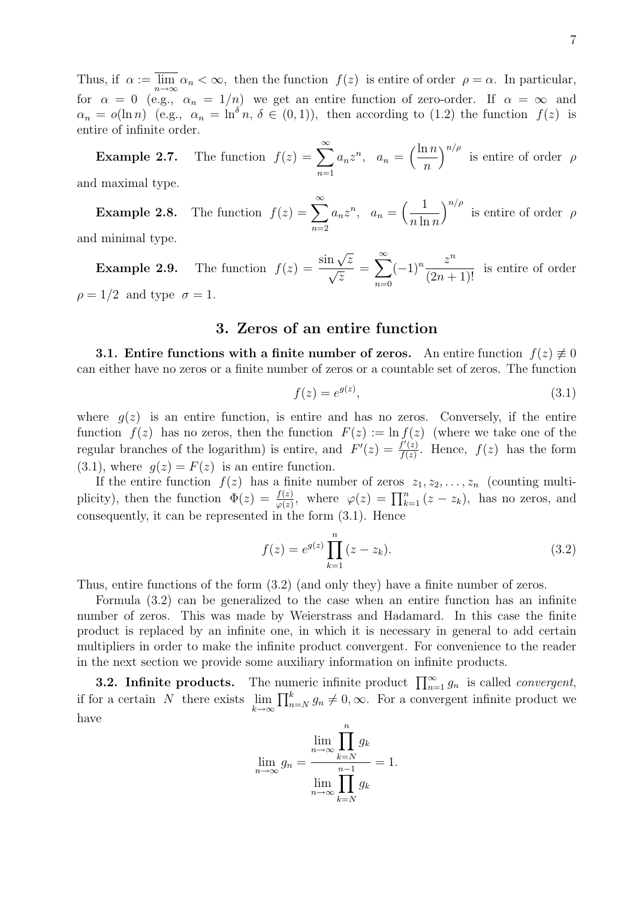Thus, if  $\alpha := \lim_{n \to \infty} \alpha_n < \infty$ , then the function  $f(z)$  is entire of order  $\rho = \alpha$ . In particular, for  $\alpha = 0$  (e.g.,  $\alpha_n = 1/n$ ) we get an entire function of zero-order. If  $\alpha = \infty$  and  $\alpha_n = o(\ln n)$  (e.g.,  $\alpha_n = \ln^{\delta} n$ ,  $\delta \in (0,1)$ ), then according to (1.2) the function  $f(z)$  is entire of infinite order.

**Example 2.7.** The function  $f(z) = \sum_{n=0}^{\infty}$  $n=1$  $a_n z^n$ ,  $a_n = \left(\frac{\ln n}{n}\right)$ n  $\int_{0}^{n/\rho}$  is entire of order  $\rho$ and maximal type.

**Example 2.8.** The function  $f(z) = \sum_{n=0}^{\infty}$  $n=2$  $a_n z^n$ ,  $a_n = \left(\frac{1}{n \ln n}\right)$  $n \ln n$  $\int^{n/\rho}$  is entire of order  $\rho$ 

and minimal type.

**Example 2.9.** The function  $f(z) = \frac{\sin \sqrt{z}}{z}$  $\frac{\ln\sqrt{z}}{z}$ z  $=\sum_{n=1}^{\infty}$  $n=0$  $(-1)^n \frac{z^n}{(2\pi)^n}$  $\frac{\infty}{(2n+1)!}$  is entire of order  $\rho = 1/2$  and type  $\sigma = 1$ .

# 3. Zeros of an entire function

**3.1. Entire functions with a finite number of zeros.** An entire function  $f(z) \neq 0$ can either have no zeros or a finite number of zeros or a countable set of zeros. The function

$$
f(z) = e^{g(z)},\tag{3.1}
$$

where  $g(z)$  is an entire function, is entire and has no zeros. Conversely, if the entire function  $f(z)$  has no zeros, then the function  $F(z) := \ln f(z)$  (where we take one of the regular branches of the logarithm) is entire, and  $F'(z) = \frac{f'(z)}{f(z)}$  $\frac{f'(z)}{f(z)}$ . Hence,  $f(z)$  has the form  $(3.1)$ , where  $g(z) = F(z)$  is an entire function.

If the entire function  $f(z)$  has a finite number of zeros  $z_1, z_2, \ldots, z_n$  (counting multiplicity), then the function  $\Phi(z) = \frac{f(z)}{\varphi(z)}$ , where  $\varphi(z) = \prod_{k=1}^n (z - z_k)$ , has no zeros, and consequently, it can be represented in the form (3.1). Hence

$$
f(z) = e^{g(z)} \prod_{k=1}^{n} (z - z_k).
$$
 (3.2)

Thus, entire functions of the form (3.2) (and only they) have a finite number of zeros.

Formula (3.2) can be generalized to the case when an entire function has an infinite number of zeros. This was made by Weierstrass and Hadamard. In this case the finite product is replaced by an infinite one, in which it is necessary in general to add certain multipliers in order to make the infinite product convergent. For convenience to the reader in the next section we provide some auxiliary information on infinite products.

**3.2. Infinite products.** The numeric infinite product  $\prod_{n=1}^{\infty} g_n$  is called *convergent*, if for a certain N there exists  $\lim_{k\to\infty} \prod_{n=N}^k g_n \neq 0, \infty$ . For a convergent infinite product we have  $\boldsymbol{n}$ 

$$
\lim_{n \to \infty} g_n = \frac{\lim_{n \to \infty} \prod_{k=N}^n g_k}{\lim_{n \to \infty} \prod_{k=N}^{n-1} g_k} = 1.
$$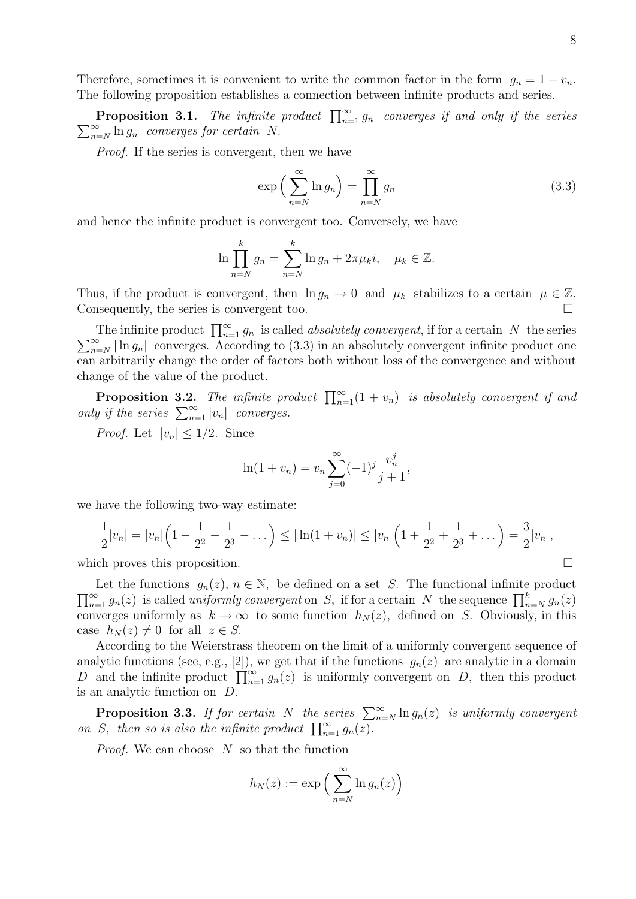Therefore, sometimes it is convenient to write the common factor in the form  $g_n = 1 + v_n$ . The following proposition establishes a connection between infinite products and series.

**Proposition 3.1.** The infinite product  $\prod_{n=1}^{\infty} g_n$  converges if and only if the series  $\sum_{n=1}^{\infty}$  $\sum_{n=N}^{\infty} \ln g_n$  converges for certain N.

Proof. If the series is convergent, then we have

$$
\exp\left(\sum_{n=N}^{\infty}\ln g_n\right) = \prod_{n=N}^{\infty} g_n \tag{3.3}
$$

and hence the infinite product is convergent too. Conversely, we have

$$
\ln \prod_{n=N}^{k} g_n = \sum_{n=N}^{k} \ln g_n + 2\pi \mu_k i, \quad \mu_k \in \mathbb{Z}.
$$

Thus, if the product is convergent, then  $\ln g_n \to 0$  and  $\mu_k$  stabilizes to a certain  $\mu \in \mathbb{Z}$ . Consequently, the series is convergent too.

The infinite product  $\prod_{n=1}^{\infty} g_n$  is called *absolutely convergent*, if for a certain N the series  $\sum_{n=1}^{\infty}$  $\sum_{n=N}^{\infty} |\ln g_n|$  converges. According to (3.3) in an absolutely convergent infinite product one can arbitrarily change the order of factors both without loss of the convergence and without change of the value of the product.

**Proposition 3.2.** The infinite product  $\prod_{n=1}^{\infty} (1 + v_n)$  is absolutely convergent if and only if the series  $\sum_{n=1}^{\infty} |v_n|$  converges.

*Proof.* Let  $|v_n| \leq 1/2$ . Since

$$
\ln(1 + v_n) = v_n \sum_{j=0}^{\infty} (-1)^j \frac{v_n^j}{j+1},
$$

we have the following two-way estimate:

$$
\frac{1}{2}|v_n| = |v_n|\left(1 - \frac{1}{2^2} - \frac{1}{2^3} - \dots\right) \leq |\ln(1 + v_n)| \leq |v_n|\left(1 + \frac{1}{2^2} + \frac{1}{2^3} + \dots\right) = \frac{3}{2}|v_n|,
$$

which proves this proposition.

 $\prod_{n=1}^{\infty} g_n(z)$  is called *uniformly convergent* on S, if for a certain N the sequence  $\prod_{n=N}^{k} g_n(z)$ Let the functions  $g_n(z)$ ,  $n \in \mathbb{N}$ , be defined on a set S. The functional infinite product converges uniformly as  $k \to \infty$  to some function  $h_N(z)$ , defined on S. Obviously, in this case  $h_N(z) \neq 0$  for all  $z \in S$ .

According to the Weierstrass theorem on the limit of a uniformly convergent sequence of analytic functions (see, e.g., [2]), we get that if the functions  $g_n(z)$  are analytic in a domain D and the infinite product  $\prod_{n=1}^{\infty} g_n(z)$  is uniformly convergent on D, then this product is an analytic function on D.

**Proposition 3.3.** If for certain N the series  $\sum_{n=N}^{\infty} \ln g_n(z)$  is uniformly convergent on S, then so is also the infinite product  $\prod_{n=1}^{\infty} g_n(z)$ .

*Proof.* We can choose  $N$  so that the function

$$
h_N(z) := \exp\Big(\sum_{n=N}^{\infty} \ln g_n(z)\Big)
$$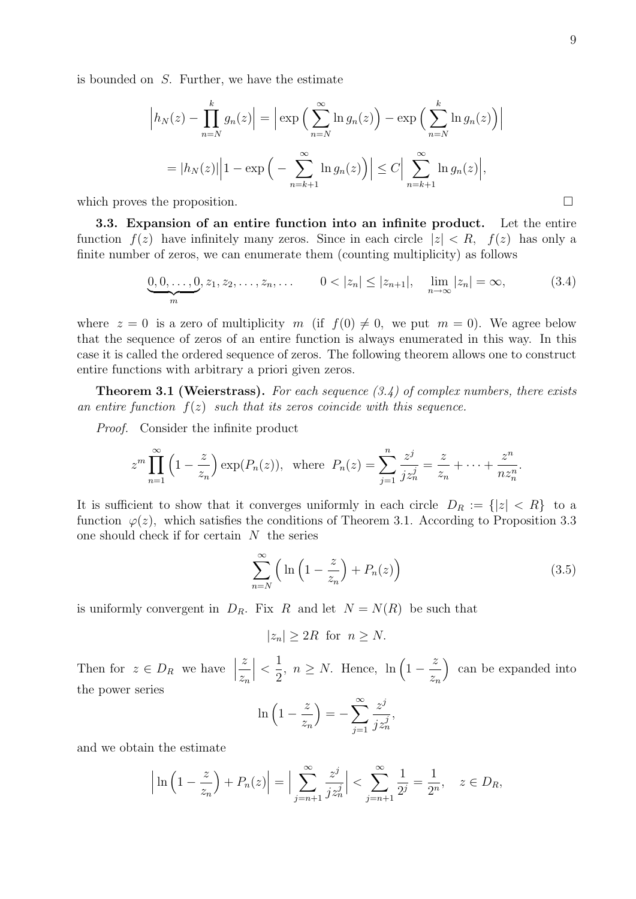is bounded on S. Further, we have the estimate

$$
\left| h_N(z) - \prod_{n=N}^k g_n(z) \right| = \left| \exp \left( \sum_{n=N}^\infty \ln g_n(z) \right) - \exp \left( \sum_{n=N}^k \ln g_n(z) \right) \right|
$$
  
=  $|h_N(z)| \left| 1 - \exp \left( - \sum_{n=k+1}^\infty \ln g_n(z) \right) \right| \le C \left| \sum_{n=k+1}^\infty \ln g_n(z) \right|,$ 

which proves the proposition.

3.3. Expansion of an entire function into an infinite product. Let the entire function  $f(z)$  have infinitely many zeros. Since in each circle  $|z| < R$ ,  $f(z)$  has only a finite number of zeros, we can enumerate them (counting multiplicity) as follows

$$
\underbrace{0,0,\ldots,0}_{m}, z_1, z_2,\ldots, z_n,\ldots \qquad 0 < |z_n| \le |z_{n+1}|, \quad \lim_{n \to \infty} |z_n| = \infty,\tag{3.4}
$$

where  $z = 0$  is a zero of multiplicity m (if  $f(0) \neq 0$ , we put  $m = 0$ ). We agree below that the sequence of zeros of an entire function is always enumerated in this way. In this case it is called the ordered sequence of zeros. The following theorem allows one to construct entire functions with arbitrary a priori given zeros.

**Theorem 3.1 (Weierstrass).** For each sequence  $(3.4)$  of complex numbers, there exists an entire function  $f(z)$  such that its zeros coincide with this sequence.

Proof. Consider the infinite product

$$
z^m \prod_{n=1}^{\infty} \left(1 - \frac{z}{z_n}\right) \exp(P_n(z)), \text{ where } P_n(z) = \sum_{j=1}^n \frac{z^j}{j z_n^j} = \frac{z}{z_n} + \dots + \frac{z^n}{nz_n^n}.
$$

It is sufficient to show that it converges uniformly in each circle  $D_R := \{ |z| < R \}$  to a function  $\varphi(z)$ , which satisfies the conditions of Theorem 3.1. According to Proposition 3.3 one should check if for certain  $N$  the series

$$
\sum_{n=N}^{\infty} \left( \ln \left( 1 - \frac{z}{z_n} \right) + P_n(z) \right) \tag{3.5}
$$

is uniformly convergent in  $D_R$ . Fix R and let  $N = N(R)$  be such that

$$
|z_n| \ge 2R \text{ for } n \ge N.
$$

Then for  $z \in D_R$  we have  $\Big|$ z  $z_n$  $\begin{array}{c} \begin{array}{c} \begin{array}{c} \end{array}\\ \begin{array}{c} \end{array} \end{array} \end{array}$  $\lt$ 1 2 ,  $n \geq N$ . Hence,  $\ln \left(1 - \frac{z}{r}\right)$  $z_n$  can be expanded into the power series

$$
\ln\left(1-\frac{z}{z_n}\right) = -\sum_{j=1}^{\infty} \frac{z^j}{j z_n^j},
$$

and we obtain the estimate

$$
\left| \ln \left( 1 - \frac{z}{z_n} \right) + P_n(z) \right| = \Big| \sum_{j=n+1}^{\infty} \frac{z^j}{j z_n^j} \Big| < \sum_{j=n+1}^{\infty} \frac{1}{2^j} = \frac{1}{2^n}, \quad z \in D_R,
$$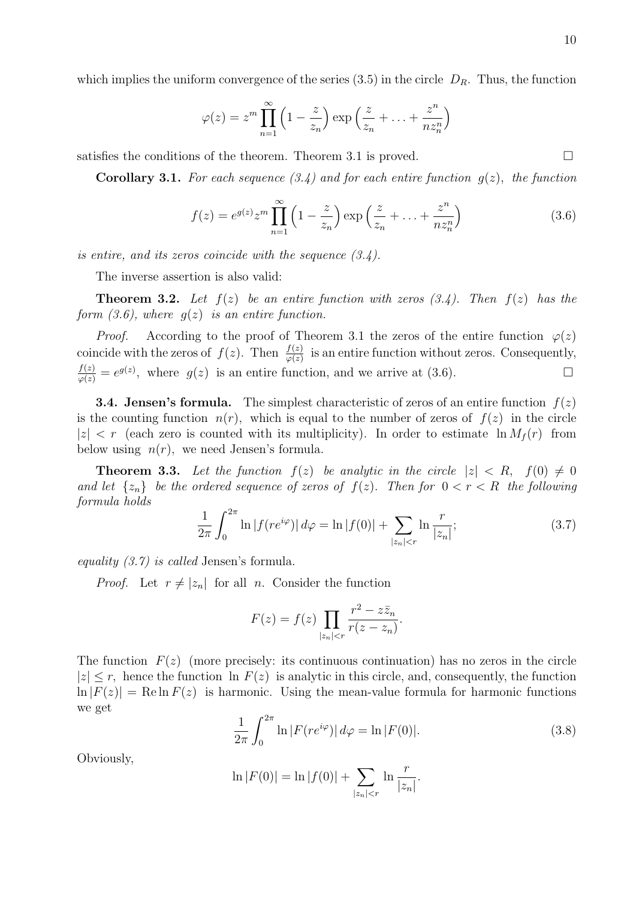which implies the uniform convergence of the series  $(3.5)$  in the circle  $D_R$ . Thus, the function

$$
\varphi(z) = z^m \prod_{n=1}^{\infty} \left( 1 - \frac{z}{z_n} \right) \exp\left( \frac{z}{z_n} + \ldots + \frac{z^n}{nz_n^n} \right)
$$

satisfies the conditions of the theorem. Theorem 3.1 is proved.  $\square$ 

**Corollary 3.1.** For each sequence  $(3.4)$  and for each entire function  $g(z)$ , the function

$$
f(z) = e^{g(z)} z^m \prod_{n=1}^{\infty} \left( 1 - \frac{z}{z_n} \right) \exp\left(\frac{z}{z_n} + \dots + \frac{z^n}{nz_n^n}\right)
$$
 (3.6)

is entire, and its zeros coincide with the sequence  $(3.4)$ .

The inverse assertion is also valid:

**Theorem 3.2.** Let  $f(z)$  be an entire function with zeros  $(3.4)$ . Then  $f(z)$  has the form  $(3.6)$ , where  $g(z)$  is an entire function.

*Proof.* According to the proof of Theorem 3.1 the zeros of the entire function  $\varphi(z)$ coincide with the zeros of  $f(z)$ . Then  $\frac{f(z)}{\varphi(z)}$  is an entire function without zeros. Consequently,  $\frac{f(z)}{\varphi(z)} = e^{g(z)}$ , where  $g(z)$  is an entire function, and we arrive at (3.6).

**3.4. Jensen's formula.** The simplest characteristic of zeros of an entire function  $f(z)$ is the counting function  $n(r)$ , which is equal to the number of zeros of  $f(z)$  in the circle  $|z| < r$  (each zero is counted with its multiplicity). In order to estimate  $\ln M_f(r)$  from below using  $n(r)$ , we need Jensen's formula.

**Theorem 3.3.** Let the function  $f(z)$  be analytic in the circle  $|z| < R$ ,  $f(0) \neq 0$ and let  $\{z_n\}$  be the ordered sequence of zeros of  $f(z)$ . Then for  $0 < r < R$  the following formula holds

$$
\frac{1}{2\pi} \int_0^{2\pi} \ln|f(re^{i\varphi})| \, d\varphi = \ln|f(0)| + \sum_{|z_n| < r} \ln \frac{r}{|z_n|};\tag{3.7}
$$

equality (3.7) is called Jensen's formula.

*Proof.* Let  $r \neq |z_n|$  for all n. Consider the function

$$
F(z) = f(z) \prod_{|z_n| < r} \frac{r^2 - z\bar{z}_n}{r(z - z_n)}.
$$

The function  $F(z)$  (more precisely: its continuous continuation) has no zeros in the circle  $|z| \leq r$ , hence the function ln  $F(z)$  is analytic in this circle, and, consequently, the function  $\ln |F(z)| = \text{Re} \ln F(z)$  is harmonic. Using the mean-value formula for harmonic functions we get

$$
\frac{1}{2\pi} \int_0^{2\pi} \ln |F(re^{i\varphi})| \, d\varphi = \ln |F(0)|. \tag{3.8}
$$

Obviously,

$$
\ln |F(0)| = \ln |f(0)| + \sum_{|z_n| < r} \ln \frac{r}{|z_n|}.
$$

10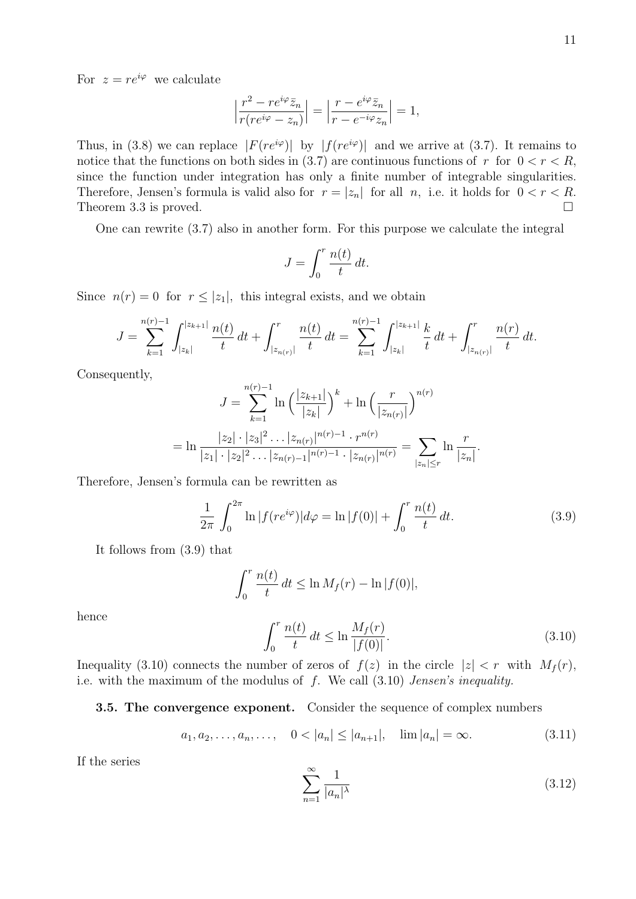For  $z = re^{i\varphi}$  we calculate

$$
\left|\frac{r^2 - re^{i\varphi}\bar{z}_n}{r(re^{i\varphi} - z_n)}\right| = \left|\frac{r - e^{i\varphi}\bar{z}_n}{r - e^{-i\varphi}z_n}\right| = 1,
$$

Thus, in (3.8) we can replace  $|F(re^{i\varphi})|$  by  $|f(re^{i\varphi})|$  and we arrive at (3.7). It remains to notice that the functions on both sides in (3.7) are continuous functions of r for  $0 < r < R$ , since the function under integration has only a finite number of integrable singularities. Therefore, Jensen's formula is valid also for  $r = |z_n|$  for all n, i.e. it holds for  $0 < r < R$ . Theorem 3.3 is proved.  $\square$ 

One can rewrite (3.7) also in another form. For this purpose we calculate the integral

$$
J = \int_0^r \frac{n(t)}{t} dt.
$$

Since  $n(r) = 0$  for  $r \leq |z_1|$ , this integral exists, and we obtain

$$
J = \sum_{k=1}^{n(r)-1} \int_{|z_k|}^{|z_{k+1}|} \frac{n(t)}{t} dt + \int_{|z_{n(r)}|}^r \frac{n(t)}{t} dt = \sum_{k=1}^{n(r)-1} \int_{|z_k|}^{|z_{k+1}|} \frac{k}{t} dt + \int_{|z_{n(r)}|}^r \frac{n(r)}{t} dt.
$$

Consequently,

$$
J = \sum_{k=1}^{n(r)-1} \ln \left( \frac{|z_{k+1}|}{|z_k|} \right)^k + \ln \left( \frac{r}{|z_{n(r)}|} \right)^{n(r)}
$$
  
= 
$$
\ln \frac{|z_2| \cdot |z_3|^2 \dots |z_{n(r)}|^{n(r)-1} \cdot r^{n(r)}}{|z_1| \cdot |z_2|^2 \dots |z_{n(r)-1}|^{n(r)-1} \cdot |z_{n(r)}|^{n(r)}} = \sum_{|z_n| \le r} \ln \frac{r}{|z_n|}.
$$

Therefore, Jensen's formula can be rewritten as

$$
\frac{1}{2\pi} \int_0^{2\pi} \ln|f(re^{i\varphi})|d\varphi = \ln|f(0)| + \int_0^r \frac{n(t)}{t} dt.
$$
 (3.9)

It follows from (3.9) that

$$
\int_0^r \frac{n(t)}{t} dt \leq \ln M_f(r) - \ln |f(0)|,
$$

hence

$$
\int_{0}^{r} \frac{n(t)}{t} dt \le \ln \frac{M_f(r)}{|f(0)|}.
$$
\n(3.10)

Inequality (3.10) connects the number of zeros of  $f(z)$  in the circle  $|z| < r$  with  $M_f(r)$ , i.e. with the maximum of the modulus of  $f$ . We call  $(3.10)$  Jensen's inequality.

#### 3.5. The convergence exponent. Consider the sequence of complex numbers

$$
a_1, a_2, \ldots, a_n, \ldots, \quad 0 < |a_n| \le |a_{n+1}|, \quad \lim |a_n| = \infty.
$$
 (3.11)

If the series

$$
\sum_{n=1}^{\infty} \frac{1}{|a_n|^\lambda} \tag{3.12}
$$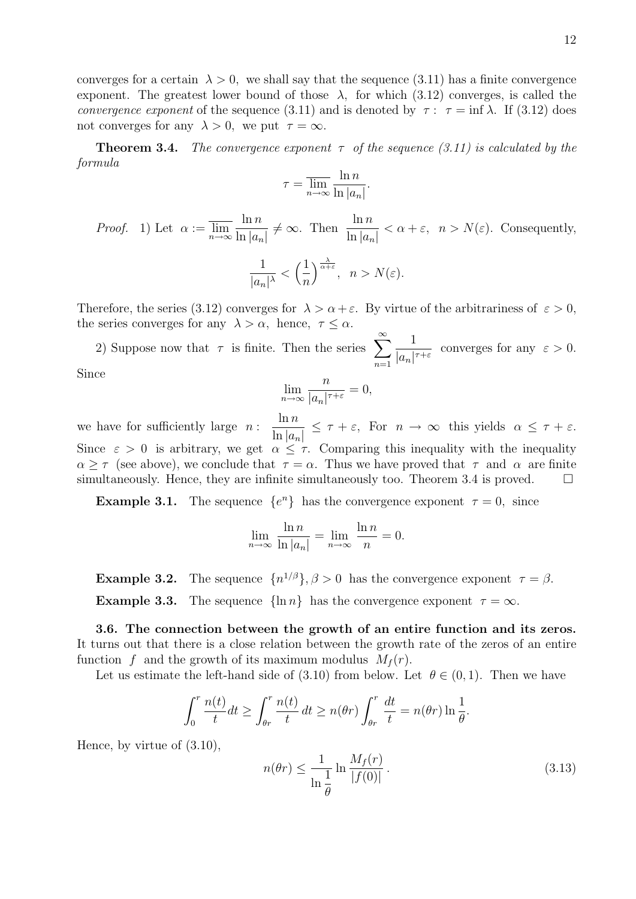converges for a certain  $\lambda > 0$ , we shall say that the sequence (3.11) has a finite convergence exponent. The greatest lower bound of those  $\lambda$ , for which (3.12) converges, is called the convergence exponent of the sequence (3.11) and is denoted by  $\tau : \tau = \inf \lambda$ . If (3.12) does not converges for any  $\lambda > 0$ , we put  $\tau = \infty$ .

**Theorem 3.4.** The convergence exponent  $\tau$  of the sequence (3.11) is calculated by the formula

$$
\tau = \overline{\lim_{n \to \infty}} \frac{\ln n}{\ln |a_n|}.
$$

*Proof.* 1) Let  $\alpha := \lim_{n \to \infty}$  $\ln n$  $\ln |a_n|$  $\neq \infty$ . Then  $\frac{\ln n}{1+r}$  $\ln |a_n|$  $\langle \alpha + \varepsilon, \quad n > N(\varepsilon)$ . Consequently, 1  $\frac{1}{|a_n|^{\lambda}} < \left(\frac{1}{n}\right)$ n  $\int^{\frac{\lambda}{\alpha+\varepsilon}}, n > N(\varepsilon).$ 

Therefore, the series (3.12) converges for  $\lambda > \alpha + \varepsilon$ . By virtue of the arbitrariness of  $\varepsilon > 0$ , the series converges for any  $\lambda > \alpha$ , hence,  $\tau \leq \alpha$ .

2) Suppose now that  $\tau$  is finite. Then the series  $\sum_{n=1}^{\infty}$  $n=1$ 1  $\frac{1}{|a_n|^{\tau+\varepsilon}}$  converges for any  $\varepsilon > 0$ .

Since

$$
\lim_{n \to \infty} \frac{n}{|a_n|^{\tau + \varepsilon}} = 0,
$$

we have for sufficiently large  $n$ :  $\ln n$  $\ln |a_n|$  $\leq \tau + \varepsilon$ , For  $n \to \infty$  this yields  $\alpha \leq \tau + \varepsilon$ . Since  $\varepsilon > 0$  is arbitrary, we get  $\alpha \leq \tau$ . Comparing this inequality with the inequality  $\alpha \geq \tau$  (see above), we conclude that  $\tau = \alpha$ . Thus we have proved that  $\tau$  and  $\alpha$  are finite simultaneously. Hence, they are infinite simultaneously too. Theorem 3.4 is proved.  $\Box$ 

**Example 3.1.** The sequence  $\{e^n\}$  has the convergence exponent  $\tau = 0$ , since

$$
\lim_{n \to \infty} \frac{\ln n}{\ln |a_n|} = \lim_{n \to \infty} \frac{\ln n}{n} = 0.
$$

**Example 3.2.** The sequence  $\{n^{1/\beta}\}, \beta > 0$  has the convergence exponent  $\tau = \beta$ . **Example 3.3.** The sequence  $\{\ln n\}$  has the convergence exponent  $\tau = \infty$ .

3.6. The connection between the growth of an entire function and its zeros. It turns out that there is a close relation between the growth rate of the zeros of an entire function f and the growth of its maximum modulus  $M_f(r)$ .

Let us estimate the left-hand side of (3.10) from below. Let  $\theta \in (0,1)$ . Then we have

$$
\int_0^r \frac{n(t)}{t} dt \ge \int_{\theta r}^r \frac{n(t)}{t} dt \ge n(\theta r) \int_{\theta r}^r \frac{dt}{t} = n(\theta r) \ln \frac{1}{\theta}.
$$

Hence, by virtue of (3.10),

$$
n(\theta r) \le \frac{1}{\ln \frac{1}{\theta}} \ln \frac{M_f(r)}{|f(0)|}.
$$
\n(3.13)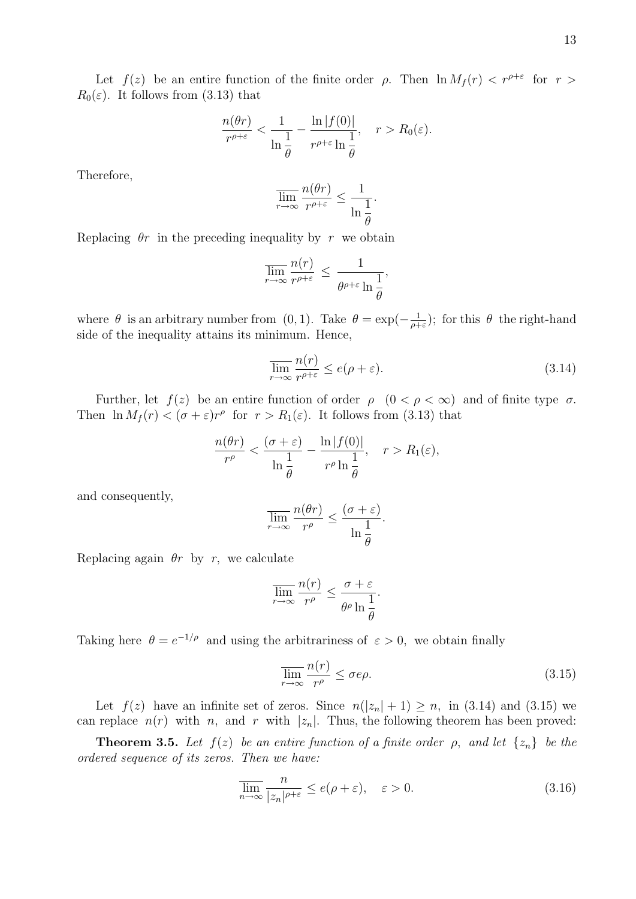Let  $f(z)$  be an entire function of the finite order  $\rho$ . Then  $\ln M_f(r) < r^{\rho+\epsilon}$  for  $r >$  $R_0(\varepsilon)$ . It follows from (3.13) that

$$
\frac{n(\theta r)}{r^{\rho+\varepsilon}} < \frac{1}{\ln \frac{1}{\theta}} - \frac{\ln |f(0)|}{r^{\rho+\varepsilon} \ln \frac{1}{\theta}}, \quad r > R_0(\varepsilon).
$$

Therefore,

$$
\overline{\lim}_{r \to \infty} \frac{n(\theta r)}{r^{\rho+\varepsilon}} \le \frac{1}{\ln \frac{1}{\theta}}.
$$

Replacing  $\theta r$  in the preceding inequality by r we obtain

$$
\overline{\lim}_{r \to \infty} \frac{n(r)}{r^{\rho+\varepsilon}} \le \frac{1}{\theta^{\rho+\varepsilon} \ln \frac{1}{\theta}},
$$

where  $\theta$  is an arbitrary number from (0, 1). Take  $\theta = \exp(-\frac{1}{\alpha^2})$  $\frac{1}{\rho+\varepsilon}$ ; for this  $\theta$  the right-hand side of the inequality attains its minimum. Hence,

$$
\overline{\lim}_{r \to \infty} \frac{n(r)}{r^{\rho + \varepsilon}} \le e(\rho + \varepsilon). \tag{3.14}
$$

Further, let  $f(z)$  be an entire function of order  $\rho$   $(0 < \rho < \infty)$  and of finite type  $\sigma$ . Then  $\ln M_f(r) < (\sigma + \varepsilon)r^{\rho}$  for  $r > R_1(\varepsilon)$ . It follows from (3.13) that

$$
\frac{n(\theta r)}{r^{\rho}} < \frac{(\sigma + \varepsilon)}{\ln \frac{1}{\theta}} - \frac{\ln |f(0)|}{r^{\rho} \ln \frac{1}{\theta}}, \quad r > R_1(\varepsilon),
$$

and consequently,

$$
\overline{\lim}_{r \to \infty} \frac{n(\theta r)}{r^{\rho}} \le \frac{(\sigma + \varepsilon)}{\ln \frac{1}{\theta}}.
$$

Replacing again  $\theta r$  by r, we calculate

$$
\overline{\lim}_{r \to \infty} \frac{n(r)}{r^{\rho}} \le \frac{\sigma + \varepsilon}{\theta^{\rho} \ln \frac{1}{\theta}}.
$$

Taking here  $\theta = e^{-1/\rho}$  and using the arbitrariness of  $\varepsilon > 0$ , we obtain finally

$$
\overline{\lim}_{r \to \infty} \frac{n(r)}{r^{\rho}} \le \sigma e\rho. \tag{3.15}
$$

Let  $f(z)$  have an infinite set of zeros. Since  $n(|z_n|+1) \geq n$ , in (3.14) and (3.15) we can replace  $n(r)$  with n, and r with  $|z_n|$ . Thus, the following theorem has been proved:

**Theorem 3.5.** Let  $f(z)$  be an entire function of a finite order  $\rho$ , and let  $\{z_n\}$  be the ordered sequence of its zeros. Then we have:

$$
\overline{\lim}_{n \to \infty} \frac{n}{|z_n|^{\rho + \varepsilon}} \le e(\rho + \varepsilon), \quad \varepsilon > 0.
$$
\n(3.16)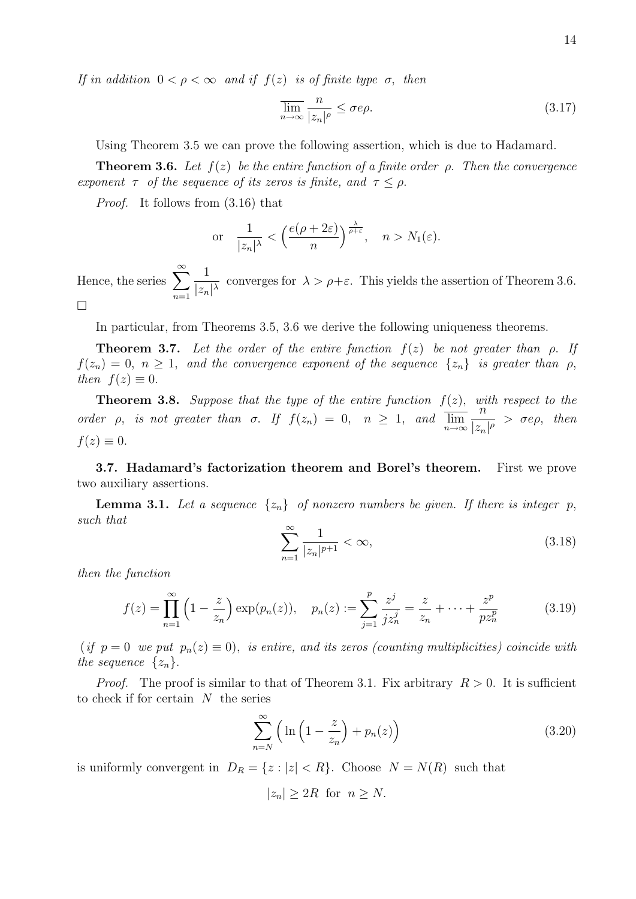If in addition  $0 < \rho < \infty$  and if  $f(z)$  is of finite type  $\sigma$ , then

$$
\overline{\lim}_{n \to \infty} \frac{n}{|z_n|^\rho} \le \sigma e\rho. \tag{3.17}
$$

Using Theorem 3.5 we can prove the following assertion, which is due to Hadamard.

**Theorem 3.6.** Let  $f(z)$  be the entire function of a finite order  $\rho$ . Then the convergence exponent  $\tau$  of the sequence of its zeros is finite, and  $\tau \leq \rho$ .

Proof. It follows from (3.16) that

or 
$$
\frac{1}{|z_n|^{\lambda}} < \left(\frac{e(\rho+2\varepsilon)}{n}\right)^{\frac{\lambda}{\rho+\varepsilon}}, \quad n > N_1(\varepsilon).
$$

Hence, the series  $\sum_{n=1}^{\infty}$  $n=1$ 1  $\frac{1}{|z_n|^{\lambda}}$  converges for  $\lambda > \rho + \varepsilon$ . This yields the assertion of Theorem 3.6.  $\Box$ 

In particular, from Theorems 3.5, 3.6 we derive the following uniqueness theorems.

**Theorem 3.7.** Let the order of the entire function  $f(z)$  be not greater than  $\rho$ . If  $f(z_n) = 0, n \ge 1$ , and the convergence exponent of the sequence  $\{z_n\}$  is greater than  $\rho$ , then  $f(z) \equiv 0$ .

**Theorem 3.8.** Suppose that the type of the entire function  $f(z)$ , with respect to the order *ρ*, is not greater than  $\sigma$ . If  $f(z_n) = 0$ ,  $n \ge 1$ , and  $\overline{\lim_{n \to \infty}} \frac{n}{|z_n|}$  $\frac{n}{|z_n|^{\rho}} > \sigma e \rho$ , then  $f(z) \equiv 0.$ 

3.7. Hadamard's factorization theorem and Borel's theorem. First we prove two auxiliary assertions.

**Lemma 3.1.** Let a sequence  $\{z_n\}$  of nonzero numbers be given. If there is integer p, such that

$$
\sum_{n=1}^{\infty} \frac{1}{|z_n|^{p+1}} < \infty,\tag{3.18}
$$

then the function

$$
f(z) = \prod_{n=1}^{\infty} \left( 1 - \frac{z}{z_n} \right) \exp(p_n(z)), \quad p_n(z) := \sum_{j=1}^{p} \frac{z^j}{j z_n^j} = \frac{z}{z_n} + \dots + \frac{z^p}{p z_n^p}
$$
(3.19)

(if  $p = 0$  we put  $p_n(z) \equiv 0$ ), is entire, and its zeros (counting multiplicities) coincide with the sequence  $\{z_n\}$ .

*Proof.* The proof is similar to that of Theorem 3.1. Fix arbitrary  $R > 0$ . It is sufficient to check if for certain  $N$  the series

$$
\sum_{n=N}^{\infty} \left( \ln \left( 1 - \frac{z}{z_n} \right) + p_n(z) \right) \tag{3.20}
$$

is uniformly convergent in  $D_R = \{z : |z| < R\}$ . Choose  $N = N(R)$  such that

$$
|z_n| \ge 2R \text{ for } n \ge N.
$$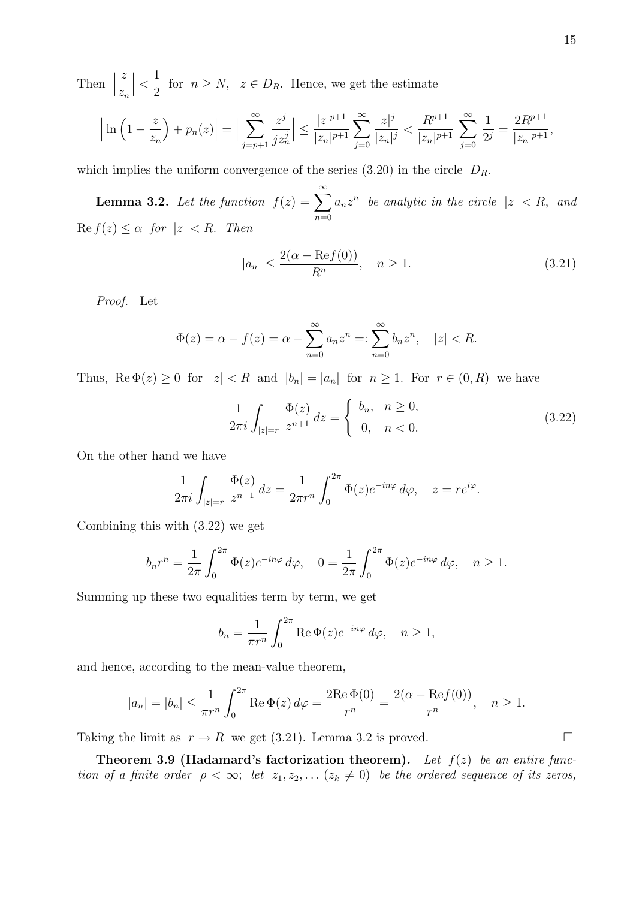Then | z  $z_n$  $\begin{array}{c} \begin{array}{c} \begin{array}{c} \end{array}\\ \begin{array}{c} \end{array} \end{array} \end{array}$  $\lt$ 1  $\frac{1}{2}$  for  $n \geq N$ ,  $z \in D_R$ . Hence, we get the estimate

$$
\left|\ln\left(1-\frac{z}{z_n}\right)+p_n(z)\right|=\Big|\sum_{j=p+1}^{\infty}\frac{z^j}{jz_n^j}\Big|\leq\frac{|z|^{p+1}}{|z_n|^{p+1}}\sum_{j=0}^{\infty}\frac{|z|^j}{|z_n|^j}<\frac{R^{p+1}}{|z_n|^{p+1}}\sum_{j=0}^{\infty}\frac{1}{2^j}=\frac{2R^{p+1}}{|z_n|^{p+1}},
$$

which implies the uniform convergence of the series  $(3.20)$  in the circle  $D_R$ .

**Lemma 3.2.** Let the function  $f(z) = \sum_{n=0}^{\infty}$  $n=0$  $a_n z^n$  be analytic in the circle  $|z| < R$ , and  $\text{Re } f(z) \leq \alpha \text{ for } |z| < R.$  Then

$$
|a_n| \le \frac{2(\alpha - \text{Re}f(0))}{R^n}, \quad n \ge 1.
$$
\n
$$
(3.21)
$$

Proof. Let

$$
\Phi(z) = \alpha - f(z) = \alpha - \sum_{n=0}^{\infty} a_n z^n =: \sum_{n=0}^{\infty} b_n z^n, \quad |z| < R.
$$

Thus,  $\text{Re }\Phi(z) \ge 0$  for  $|z| < R$  and  $|b_n| = |a_n|$  for  $n \ge 1$ . For  $r \in (0, R)$  we have

$$
\frac{1}{2\pi i} \int_{|z|=r} \frac{\Phi(z)}{z^{n+1}} dz = \begin{cases} b_n, & n \ge 0, \\ 0, & n < 0. \end{cases}
$$
 (3.22)

On the other hand we have

$$
\frac{1}{2\pi i} \int_{|z|=r} \frac{\Phi(z)}{z^{n+1}} dz = \frac{1}{2\pi r^n} \int_0^{2\pi} \Phi(z) e^{-in\varphi} d\varphi, \quad z = r e^{i\varphi}.
$$

Combining this with (3.22) we get

$$
b_n r^n = \frac{1}{2\pi} \int_0^{2\pi} \Phi(z) e^{-in\varphi} d\varphi, \quad 0 = \frac{1}{2\pi} \int_0^{2\pi} \overline{\Phi(z)} e^{-in\varphi} d\varphi, \quad n \ge 1.
$$

Summing up these two equalities term by term, we get

$$
b_n = \frac{1}{\pi r^n} \int_0^{2\pi} \text{Re}\,\Phi(z) e^{-in\varphi} \,d\varphi, \quad n \ge 1,
$$

and hence, according to the mean-value theorem,

$$
|a_n| = |b_n| \le \frac{1}{\pi r^n} \int_0^{2\pi} \text{Re } \Phi(z) d\varphi = \frac{2 \text{Re } \Phi(0)}{r^n} = \frac{2(\alpha - \text{Re } f(0))}{r^n}, \quad n \ge 1.
$$

Taking the limit as  $r \to R$  we get (3.21). Lemma 3.2 is proved.

Theorem 3.9 (Hadamard's factorization theorem). Let  $f(z)$  be an entire function of a finite order  $\rho < \infty$ ; let  $z_1, z_2, \ldots (z_k \neq 0)$  be the ordered sequence of its zeros,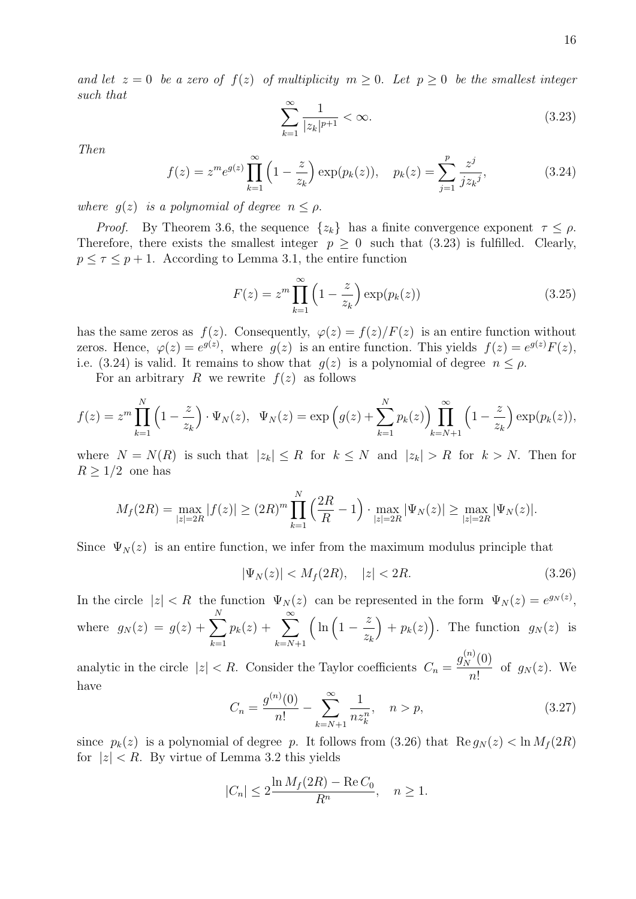and let  $z = 0$  be a zero of  $f(z)$  of multiplicity  $m \geq 0$ . Let  $p \geq 0$  be the smallest integer such that

$$
\sum_{k=1}^{\infty} \frac{1}{|z_k|^{p+1}} < \infty. \tag{3.23}
$$

Then

$$
f(z) = z^m e^{g(z)} \prod_{k=1}^{\infty} \left( 1 - \frac{z}{z_k} \right) \exp(p_k(z)), \quad p_k(z) = \sum_{j=1}^p \frac{z^j}{j z_k^j},
$$
 (3.24)

where  $g(z)$  is a polynomial of degree  $n \leq \rho$ .

*Proof.* By Theorem 3.6, the sequence  $\{z_k\}$  has a finite convergence exponent  $\tau \leq \rho$ . Therefore, there exists the smallest integer  $p \geq 0$  such that (3.23) is fulfilled. Clearly,  $p \leq \tau \leq p+1$ . According to Lemma 3.1, the entire function

$$
F(z) = zm \prod_{k=1}^{\infty} \left( 1 - \frac{z}{z_k} \right) \exp(p_k(z))
$$
 (3.25)

has the same zeros as  $f(z)$ . Consequently,  $\varphi(z) = f(z)/F(z)$  is an entire function without zeros. Hence,  $\varphi(z) = e^{g(z)}$ , where  $g(z)$  is an entire function. This yields  $f(z) = e^{g(z)} F(z)$ , i.e. (3.24) is valid. It remains to show that  $g(z)$  is a polynomial of degree  $n \leq \rho$ .

For an arbitrary R we rewrite  $f(z)$  as follows

$$
f(z) = z^m \prod_{k=1}^N \left(1 - \frac{z}{z_k}\right) \cdot \Psi_N(z), \quad \Psi_N(z) = \exp\left(g(z) + \sum_{k=1}^N p_k(z)\right) \prod_{k=N+1}^\infty \left(1 - \frac{z}{z_k}\right) \exp(p_k(z)),
$$

where  $N = N(R)$  is such that  $|z_k| \leq R$  for  $k \leq N$  and  $|z_k| > R$  for  $k > N$ . Then for  $R \geq 1/2$  one has

$$
M_f(2R) = \max_{|z|=2R} |f(z)| \ge (2R)^m \prod_{k=1}^N \left(\frac{2R}{R} - 1\right) \cdot \max_{|z|=2R} |\Psi_N(z)| \ge \max_{|z|=2R} |\Psi_N(z)|.
$$

Since  $\Psi_N(z)$  is an entire function, we infer from the maximum modulus principle that

$$
|\Psi_N(z)| < M_f(2R), \quad |z| < 2R. \tag{3.26}
$$

In the circle  $|z| < R$  the function  $\Psi_N(z)$  can be represented in the form  $\Psi_N(z) = e^{g_N(z)}$ , where  $g_N(z) = g(z) + \sum$ N  $k=1$  $p_k(z) + \sum_{i=1}^{\infty}$  $k=N+1$  $\int \ln \left(1 - \frac{z}{z}\right)$  $z_k$  $+ p_k(z)$ . The function  $g_N(z)$  is

analytic in the circle  $|z| < R$ . Consider the Taylor coefficients  $C_n = \frac{g_N^{(n)}(0)}{R}$  $\frac{1}{n!}$  of  $g_N(z)$ . We have

$$
C_n = \frac{g^{(n)}(0)}{n!} - \sum_{k=N+1}^{\infty} \frac{1}{nz_k^n}, \quad n > p,
$$
\n(3.27)

since  $p_k(z)$  is a polynomial of degree p. It follows from (3.26) that  $\text{Re } g_N(z) < \ln M_f(2R)$ for  $|z| < R$ . By virtue of Lemma 3.2 this yields

$$
|C_n| \le 2 \frac{\ln M_f(2R) - \operatorname{Re} C_0}{R^n}, \quad n \ge 1.
$$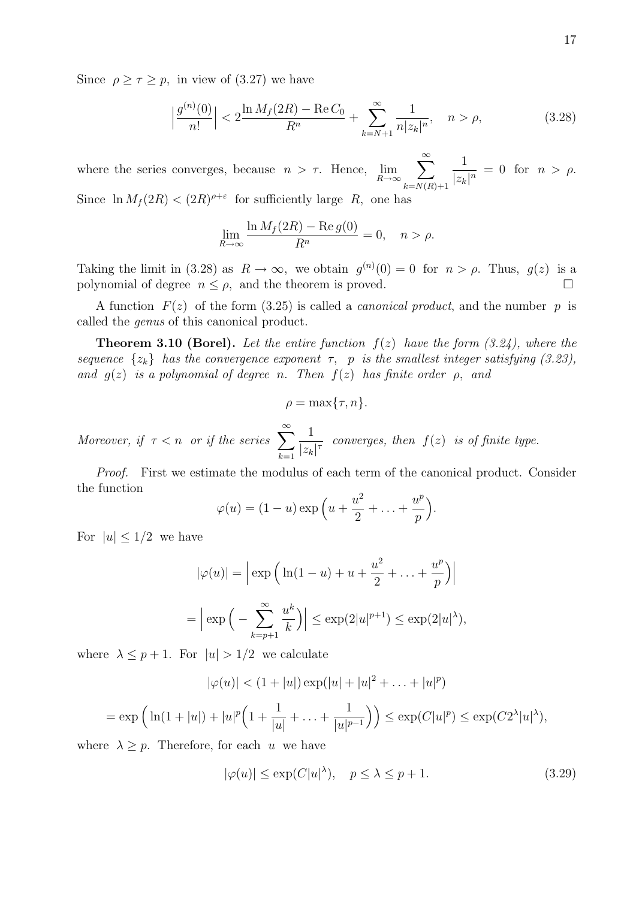Since  $\rho \geq \tau \geq p$ , in view of (3.27) we have

$$
\left|\frac{g^{(n)}(0)}{n!}\right| < 2\frac{\ln M_f(2R) - \text{Re}\,C_0}{R^n} + \sum_{k=N+1}^{\infty} \frac{1}{n|z_k|^n}, \quad n > \rho,\tag{3.28}
$$

where the series converges, because  $n > \tau$ . Hence,  $\lim_{R \to \infty}$  $\sum^{\infty}$  $k=N(R)+1$ 1  $\frac{1}{|z_k|^n} = 0$  for  $n > \rho$ . Since  $\ln M_f(2R) < (2R)^{\rho+\epsilon}$  for sufficiently large R, one has

$$
\lim_{R \to \infty} \frac{\ln M_f(2R) - \text{Re } g(0)}{R^n} = 0, \quad n > \rho.
$$

Taking the limit in (3.28) as  $R \to \infty$ , we obtain  $g^{(n)}(0) = 0$  for  $n > \rho$ . Thus,  $g(z)$  is a polynomial of degree  $n \leq \rho$ , and the theorem is proved.

A function  $F(z)$  of the form (3.25) is called a *canonical product*, and the number p is called the genus of this canonical product.

**Theorem 3.10 (Borel).** Let the entire function  $f(z)$  have the form (3.24), where the sequence  $\{z_k\}$  has the convergence exponent  $\tau$ , p is the smallest integer satisfying (3.23), and  $g(z)$  is a polynomial of degree n. Then  $f(z)$  has finite order  $\rho$ , and

$$
\rho = \max\{\tau, n\}.
$$

Moreover, if  $\tau < n$  or if the series  $\sum_{n=1}^{\infty}$  $_{k=1}$ 1  $\frac{1}{|z_k|^\tau}$  converges, then  $f(z)$  is of finite type.

Proof. First we estimate the modulus of each term of the canonical product. Consider the function

$$
\varphi(u) = (1-u)\exp\left(u + \frac{u^2}{2} + \ldots + \frac{u^p}{p}\right).
$$

For  $|u| \leq 1/2$  we have

$$
|\varphi(u)| = \left| \exp\left(\ln(1-u) + u + \frac{u^2}{2} + \dots + \frac{u^p}{p}\right) \right|
$$
  
= 
$$
\left| \exp\left(-\sum_{k=p+1}^{\infty} \frac{u^k}{k}\right) \right| \le \exp(2|u|^{p+1}) \le \exp(2|u|^{\lambda}),
$$

where  $\lambda \leq p+1$ . For  $|u| > 1/2$  we calculate

$$
|\varphi(u)| < (1+|u|) \exp(|u|+|u|^2 + \ldots + |u|^p)
$$
\n
$$
= \exp\left(\ln(1+|u|) + |u|^p \left(1 + \frac{1}{|u|} + \ldots + \frac{1}{|u|^{p-1}}\right)\right) \le \exp(C|u|^p) \le \exp(C2^{\lambda}|u|^{\lambda}),
$$

where  $\lambda \geq p$ . Therefore, for each u we have

$$
|\varphi(u)| \le \exp(C|u|^\lambda), \quad p \le \lambda \le p+1. \tag{3.29}
$$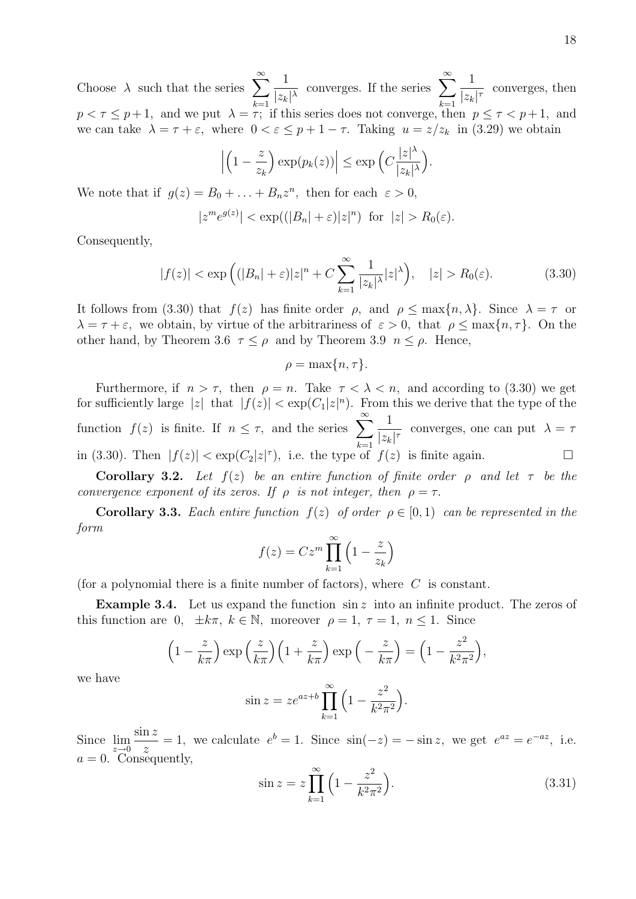Choose  $\lambda$  such that the series  $\sum_{n=1}^{\infty}$  $k=1$ 1  $\frac{1}{|z_k|^{\lambda}}$  converges. If the series  $\sum_{k=1}^{\infty}$  $k=1$ 1  $\frac{1}{|z_k|^\tau}$  converges, then  $p < \tau \leq p+1$ , and we put  $\lambda = \tau$ ; if this series does not converge, then  $p \leq \tau < p+1$ , and we can take  $\lambda = \tau + \varepsilon$ , where  $0 < \varepsilon \leq p + 1 - \tau$ . Taking  $u = z/z_k$  in (3.29) we obtain

$$
\left| \left( 1 - \frac{z}{z_k} \right) \exp(p_k(z)) \right| \le \exp\left( C \frac{|z|^{\lambda}}{|z_k|^{\lambda}} \right).
$$

We note that if  $g(z) = B_0 + \ldots + B_n z^n$ , then for each  $\varepsilon > 0$ ,

$$
|z^m e^{g(z)}| < \exp((|B_n| + \varepsilon)|z|^n) \text{ for } |z| > R_0(\varepsilon).
$$

Consequently,

$$
|f(z)| < \exp\left((|B_n| + \varepsilon)|z|^n + C\sum_{k=1}^{\infty}\frac{1}{|z_k|^{\lambda}}|z|^{\lambda}\right), \quad |z| > R_0(\varepsilon). \tag{3.30}
$$

It follows from (3.30) that  $f(z)$  has finite order  $\rho$ , and  $\rho \leq \max\{n, \lambda\}$ . Since  $\lambda = \tau$  or  $\lambda = \tau + \varepsilon$ , we obtain, by virtue of the arbitrariness of  $\varepsilon > 0$ , that  $\rho \leq \max\{n, \tau\}$ . On the other hand, by Theorem 3.6  $\tau \leq \rho$  and by Theorem 3.9  $n \leq \rho$ . Hence,

$$
\rho = \max\{n, \tau\}.
$$

Furthermore, if  $n > \tau$ , then  $\rho = n$ . Take  $\tau < \lambda < n$ , and according to (3.30) we get for sufficiently large |z| that  $|f(z)| < \exp(C_1|z|^n)$ . From this we derive that the type of the function  $f(z)$  is finite. If  $n \leq \tau$ , and the series  $\sum_{n=1}^{\infty}$  $k=1$ 1  $\frac{1}{|z_k|^\tau}$  converges, one can put  $\lambda = \tau$ in (3.30). Then  $|f(z)| < \exp(C_2|z|^{\tau})$ , i.e. the type of  $f(z)$  is finite again.

Corollary 3.2. Let  $f(z)$  be an entire function of finite order  $\rho$  and let  $\tau$  be the convergence exponent of its zeros. If  $\rho$  is not integer, then  $\rho = \tau$ .

**Corollary 3.3.** Each entire function  $f(z)$  of order  $\rho \in [0,1)$  can be represented in the form

$$
f(z) = Cz^m \prod_{k=1}^{\infty} \left(1 - \frac{z}{z_k}\right)
$$

(for a polynomial there is a finite number of factors), where  $C$  is constant.

**Example 3.4.** Let us expand the function  $\sin z$  into an infinite product. The zeros of this function are 0,  $\pm k\pi$ ,  $k \in \mathbb{N}$ , moreover  $\rho = 1$ ,  $\tau = 1$ ,  $n \leq 1$ . Since

$$
\left(1 - \frac{z}{k\pi}\right) \exp\left(\frac{z}{k\pi}\right) \left(1 + \frac{z}{k\pi}\right) \exp\left(-\frac{z}{k\pi}\right) = \left(1 - \frac{z^2}{k^2\pi^2}\right),
$$

we have

$$
\sin z = z e^{az+b} \prod_{k=1}^{\infty} \left( 1 - \frac{z^2}{k^2 \pi^2} \right).
$$

Since  $\lim_{z\to 0}$  $\sin z$ z  $= 1$ , we calculate  $e^{b} = 1$ . Since  $\sin(-z) = -\sin z$ , we get  $e^{az} = e^{-az}$ , i.e.  $a = 0$ . Consequently,

$$
\sin z = z \prod_{k=1}^{\infty} \left( 1 - \frac{z^2}{k^2 \pi^2} \right).
$$
 (3.31)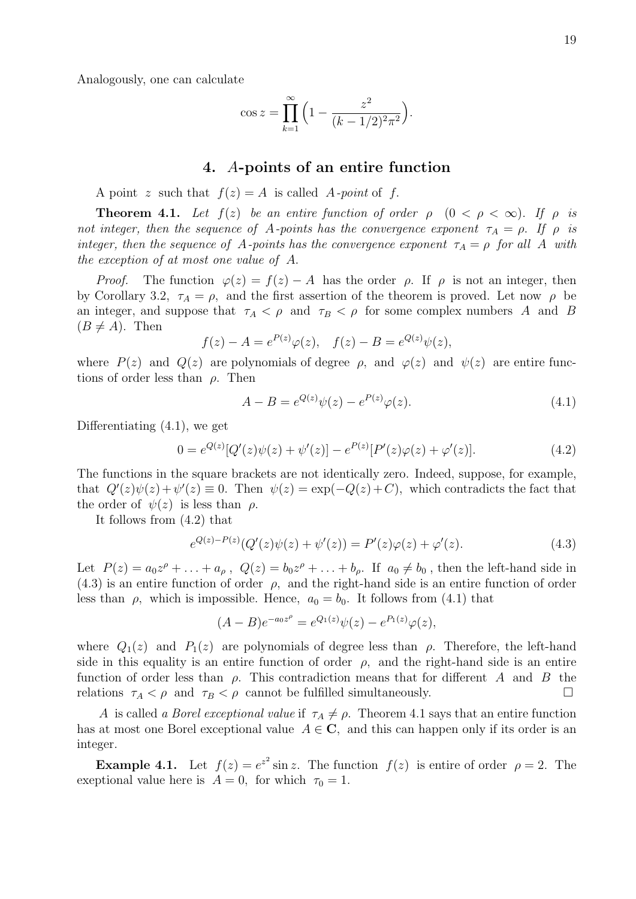Analogously, one can calculate

$$
\cos z = \prod_{k=1}^{\infty} \left( 1 - \frac{z^2}{(k - 1/2)^2 \pi^2} \right).
$$

#### 4. A-points of an entire function

A point z such that  $f(z) = A$  is called A-point of f.

**Theorem 4.1.** Let  $f(z)$  be an entire function of order  $\rho$   $(0 < \rho < \infty)$ . If  $\rho$  is not integer, then the sequence of A-points has the convergence exponent  $\tau_A = \rho$ . If  $\rho$  is integer, then the sequence of A-points has the convergence exponent  $\tau_A = \rho$  for all A with the exception of at most one value of A.

*Proof.* The function  $\varphi(z) = f(z) - A$  has the order  $\rho$ . If  $\rho$  is not an integer, then by Corollary 3.2,  $\tau_A = \rho$ , and the first assertion of the theorem is proved. Let now  $\rho$  be an integer, and suppose that  $\tau_A < \rho$  and  $\tau_B < \rho$  for some complex numbers A and B  $(B \neq A)$ . Then

$$
f(z) - A = e^{P(z)}\varphi(z), \quad f(z) - B = e^{Q(z)}\psi(z),
$$

where  $P(z)$  and  $Q(z)$  are polynomials of degree  $\rho$ , and  $\varphi(z)$  and  $\psi(z)$  are entire functions of order less than  $\rho$ . Then

$$
A - B = e^{Q(z)}\psi(z) - e^{P(z)}\varphi(z).
$$
\n(4.1)

Differentiating (4.1), we get

$$
0 = e^{Q(z)}[Q'(z)\psi(z) + \psi'(z)] - e^{P(z)}[P'(z)\varphi(z) + \varphi'(z)].
$$
\n(4.2)

The functions in the square brackets are not identically zero. Indeed, suppose, for example, that  $Q'(z)\psi(z)+\psi'(z)\equiv 0$ . Then  $\psi(z)=\exp(-Q(z)+C)$ , which contradicts the fact that the order of  $\psi(z)$  is less than  $\rho$ .

It follows from (4.2) that

$$
e^{Q(z)-P(z)}(Q'(z)\psi(z)+\psi'(z)) = P'(z)\varphi(z)+\varphi'(z). \tag{4.3}
$$

Let  $P(z) = a_0 z^{\rho} + \ldots + a_{\rho}$ ,  $Q(z) = b_0 z^{\rho} + \ldots + b_{\rho}$ . If  $a_0 \neq b_0$ , then the left-hand side in  $(4.3)$  is an entire function of order  $\rho$ , and the right-hand side is an entire function of order less than  $\rho$ , which is impossible. Hence,  $a_0 = b_0$ . It follows from (4.1) that

$$
(A - B)e^{-a_0 z^{\rho}} = e^{Q_1(z)}\psi(z) - e^{P_1(z)}\varphi(z),
$$

where  $Q_1(z)$  and  $P_1(z)$  are polynomials of degree less than  $\rho$ . Therefore, the left-hand side in this equality is an entire function of order  $\rho$ , and the right-hand side is an entire function of order less than  $\rho$ . This contradiction means that for different A and B the relations  $\tau_A < \rho$  and  $\tau_B < \rho$  cannot be fulfilled simultaneously.

A is called a *Borel exceptional value* if  $\tau_A \neq \rho$ . Theorem 4.1 says that an entire function has at most one Borel exceptional value  $A \in \mathbb{C}$ , and this can happen only if its order is an integer.

**Example 4.1.** Let  $f(z) = e^{z^2} \sin z$ . The function  $f(z)$  is entire of order  $\rho = 2$ . The exeptional value here is  $A = 0$ , for which  $\tau_0 = 1$ .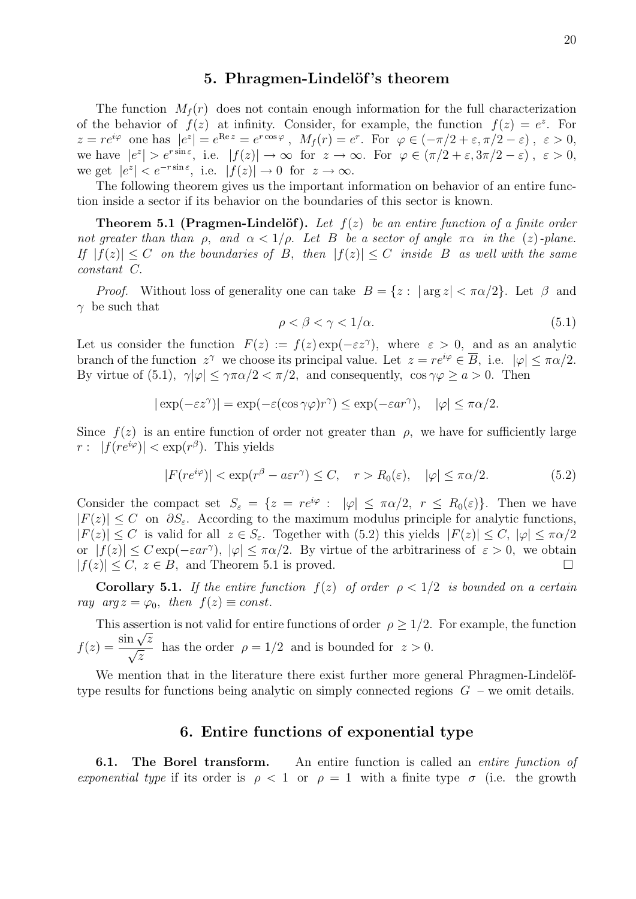## 5. Phragmen-Lindelöf's theorem

The function  $M_f(r)$  does not contain enough information for the full characterization of the behavior of  $f(z)$  at infinity. Consider, for example, the function  $f(z) = e^z$ . For  $z = re^{i\varphi}$  one has  $|e^z| = e^{\text{Re } z} = e^{r \cos \varphi}$ ,  $M_f(r) = e^r$ . For  $\varphi \in (-\pi/2 + \varepsilon, \pi/2 - \varepsilon)$ ,  $\varepsilon > 0$ , we have  $|e^z| > e^{r \sin \epsilon}$ , i.e.  $|f(z)| \to \infty$  for  $z \to \infty$ . For  $\varphi \in (\pi/2 + \epsilon, 3\pi/2 - \epsilon)$ ,  $\epsilon > 0$ , we get  $|e^z| < e^{-r \sin \varepsilon}$ , i.e.  $|f(z)| \to 0$  for  $z \to \infty$ .

The following theorem gives us the important information on behavior of an entire function inside a sector if its behavior on the boundaries of this sector is known.

**Theorem 5.1 (Pragmen-Lindelöf).** Let  $f(z)$  be an entire function of a finite order not greater than than  $\rho$ , and  $\alpha < 1/\rho$ . Let B be a sector of angle  $\pi\alpha$  in the (z)-plane. If  $|f(z)| \leq C$  on the boundaries of B, then  $|f(z)| \leq C$  inside B as well with the same constant C.

*Proof.* Without loss of generality one can take  $B = \{z : |\arg z| < \pi \alpha/2\}$ . Let  $\beta$  and  $\gamma$  be such that

$$
\rho < \beta < \gamma < 1/\alpha. \tag{5.1}
$$

Let us consider the function  $F(z) := f(z) \exp(-\varepsilon z^{\gamma})$ , where  $\varepsilon > 0$ , and as an analytic branch of the function  $z^{\gamma}$  we choose its principal value. Let  $z = re^{i\varphi} \in \overline{B}$ , i.e.  $|\varphi| \leq \pi \alpha/2$ . By virtue of (5.1),  $\gamma|\varphi| \leq \gamma \pi \alpha/2 < \pi/2$ , and consequently,  $\cos \gamma \varphi \geq a > 0$ . Then

$$
|\exp(-\varepsilon z^{\gamma})| = \exp(-\varepsilon(\cos \gamma \varphi)r^{\gamma}) \le \exp(-\varepsilon ar^{\gamma}), \quad |\varphi| \le \pi \alpha/2.
$$

Since  $f(z)$  is an entire function of order not greater than  $\rho$ , we have for sufficiently large  $r: |f(re^{i\varphi})| < \exp(r^{\beta})$ . This yields

$$
|F(re^{i\varphi})| < \exp(r^{\beta} - a\varepsilon r^{\gamma}) \le C, \quad r > R_0(\varepsilon), \quad |\varphi| \le \pi \alpha/2. \tag{5.2}
$$

Consider the compact set  $S_{\varepsilon} = \{z = re^{i\varphi} : |\varphi| \leq \pi \alpha/2, r \leq R_0(\varepsilon)\}\.$  Then we have  $|F(z)| \leq C$  on  $\partial S_{\varepsilon}$ . According to the maximum modulus principle for analytic functions,  $|F(z)| \leq C$  is valid for all  $z \in S_{\varepsilon}$ . Together with (5.2) this yields  $|F(z)| \leq C$ ,  $|\varphi| \leq \pi \alpha/2$ or  $|f(z)| \leq C \exp(-\varepsilon a r^{\gamma})$ ,  $|\varphi| \leq \pi \alpha/2$ . By virtue of the arbitrariness of  $\varepsilon > 0$ , we obtain  $|f(z)| \leq C, z \in B$ , and Theorem 5.1 is proved.

**Corollary 5.1.** If the entire function  $f(z)$  of order  $\rho < 1/2$  is bounded on a certain ray  $arg z = \varphi_0$ , then  $f(z) \equiv const.$ 

This assertion is not valid for entire functions of order  $\rho \geq 1/2$ . For example, the function This asset<br> $f(z) = \frac{\sin \sqrt{z}}{z}$  $\frac{\ln\sqrt{z}}{z}$ z has the order  $\rho = 1/2$  and is bounded for  $z > 0$ .

We mention that in the literature there exist further more general Phragmen-Lindelöftype results for functions being analytic on simply connected regions  $G$  – we omit details.

# 6. Entire functions of exponential type

**6.1.** The Borel transform. An entire function is called an *entire function of* exponential type if its order is  $\rho < 1$  or  $\rho = 1$  with a finite type  $\sigma$  (i.e. the growth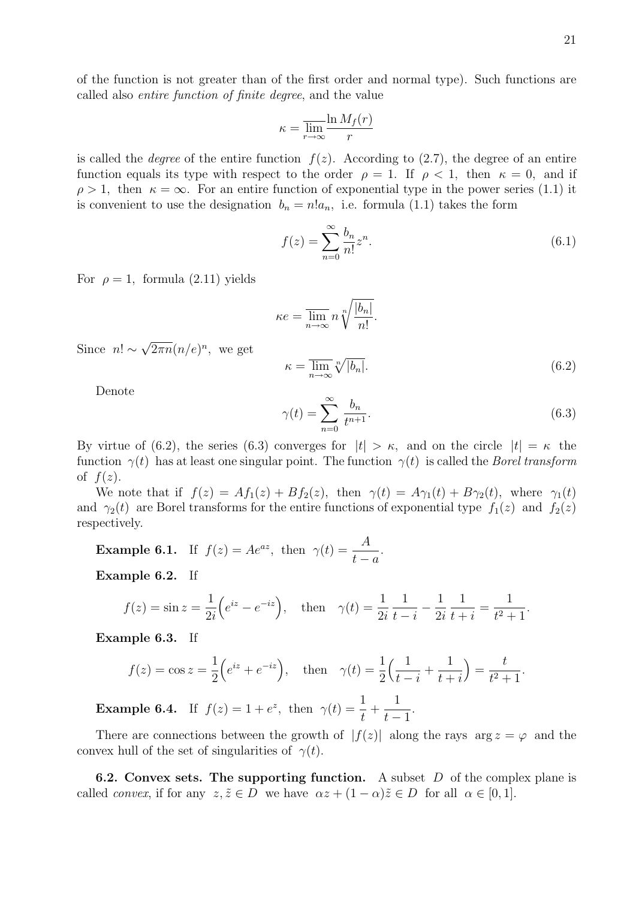of the function is not greater than of the first order and normal type). Such functions are called also entire function of finite degree, and the value

$$
\kappa = \overline{\lim_{r \to \infty}} \frac{\ln M_f(r)}{r}
$$

is called the *degree* of the entire function  $f(z)$ . According to (2.7), the degree of an entire function equals its type with respect to the order  $\rho = 1$ . If  $\rho < 1$ , then  $\kappa = 0$ , and if  $\rho > 1$ , then  $\kappa = \infty$ . For an entire function of exponential type in the power series (1.1) it is convenient to use the designation  $b_n = n!a_n$ , i.e. formula (1.1) takes the form

$$
f(z) = \sum_{n=0}^{\infty} \frac{b_n}{n!} z^n.
$$
\n
$$
(6.1)
$$

For  $\rho = 1$ , formula (2.11) yields

$$
\kappa e = \overline{\lim_{n \to \infty}} n \sqrt[n]{\frac{|b_n|}{n!}}.
$$

Since  $n! \sim$ √  $\overline{2\pi n}(n/e)^n$ , we get

$$
\kappa = \overline{\lim}_{n \to \infty} \sqrt[n]{|b_n|}.
$$
\n(6.2)

Denote

$$
\gamma(t) = \sum_{n=0}^{\infty} \frac{b_n}{t^{n+1}}.\tag{6.3}
$$

By virtue of (6.2), the series (6.3) converges for  $|t| > \kappa$ , and on the circle  $|t| = \kappa$  the function  $\gamma(t)$  has at least one singular point. The function  $\gamma(t)$  is called the *Borel transform* of  $f(z)$ .

We note that if  $f(z) = Af_1(z) + Bf_2(z)$ , then  $\gamma(t) = A\gamma_1(t) + B\gamma_2(t)$ , where  $\gamma_1(t)$ and  $\gamma_2(t)$  are Borel transforms for the entire functions of exponential type  $f_1(z)$  and  $f_2(z)$ respectively.

**Example 6.1.** If  $f(z) = Ae^{az}$ , then  $\gamma(t) = \frac{A}{A}$  $t - a$ .

Example 6.2. If

$$
f(z) = \sin z = \frac{1}{2i} \left( e^{iz} - e^{-iz} \right)
$$
, then  $\gamma(t) = \frac{1}{2i} \frac{1}{t - i} - \frac{1}{2i} \frac{1}{t + i} = \frac{1}{t^2 + 1}$ .

Example 6.3. If

$$
f(z) = \cos z = \frac{1}{2} \left( e^{iz} + e^{-iz} \right)
$$
, then  $\gamma(t) = \frac{1}{2} \left( \frac{1}{t-i} + \frac{1}{t+i} \right) = \frac{t}{t^2+1}$ .

**Example 6.4.** If  $f(z) = 1 + e^z$ , then  $\gamma(t) = \frac{1}{z}$ t  $+$ 1  $t-1$ .

There are connections between the growth of  $|f(z)|$  along the rays  $\arg z = \varphi$  and the convex hull of the set of singularities of  $\gamma(t)$ .

**6.2. Convex sets. The supporting function.** A subset  $D$  of the complex plane is called *convex*, if for any  $z, \tilde{z} \in D$  we have  $\alpha z + (1 - \alpha)\tilde{z} \in D$  for all  $\alpha \in [0, 1]$ .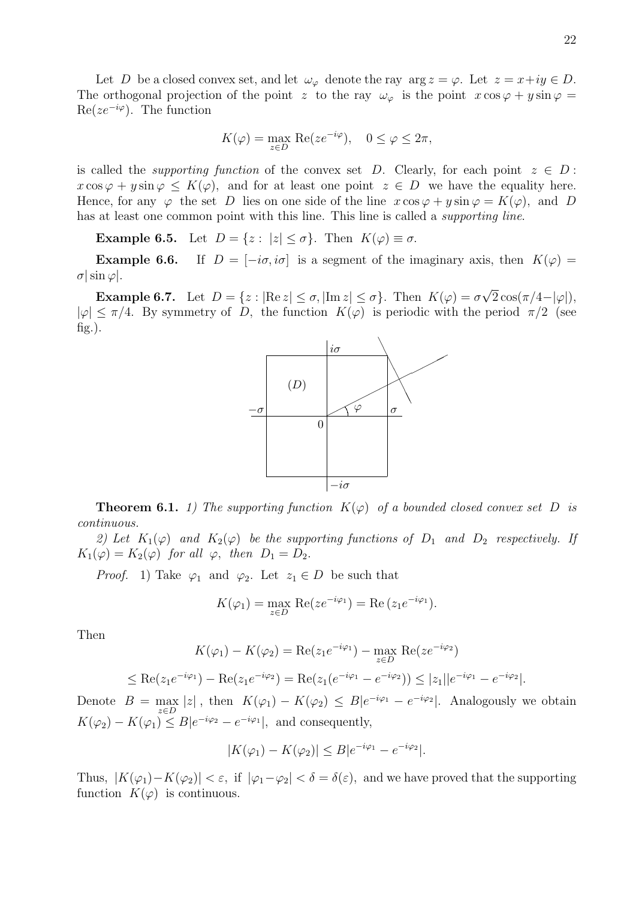Let D be a closed convex set, and let  $\omega_{\varphi}$  denote the ray  $\arg z = \varphi$ . Let  $z = x+iy \in D$ . The orthogonal projection of the point z to the ray  $\omega_{\varphi}$  is the point  $x \cos \varphi + y \sin \varphi =$  $\text{Re}(ze^{-i\varphi})$ . The function

$$
K(\varphi) = \max_{z \in D} \operatorname{Re}(ze^{-i\varphi}), \quad 0 \le \varphi \le 2\pi,
$$

is called the *supporting function* of the convex set D. Clearly, for each point  $z \in D$ :  $x \cos \varphi + y \sin \varphi \le K(\varphi)$ , and for at least one point  $z \in D$  we have the equality here. Hence, for any  $\varphi$  the set D lies on one side of the line  $x \cos \varphi + y \sin \varphi = K(\varphi)$ , and D has at least one common point with this line. This line is called a supporting line.

**Example 6.5.** Let  $D = \{z : |z| \le \sigma\}$ . Then  $K(\varphi) \equiv \sigma$ .

**Example 6.6.** If  $D = [-i\sigma, i\sigma]$  is a segment of the imaginary axis, then  $K(\varphi) =$  $\sigma$ | sin  $\varphi$ |.

**Example 6.7.** Let  $D = \{z : |\text{Re } z| \le \sigma, |\text{Im } z| \le \sigma\}$ . Then  $K(\varphi) = \sigma$ √  $2\cos(\pi/4-|\varphi|),$  $|\varphi| \leq \pi/4$ . By symmetry of D, the function  $K(\varphi)$  is periodic with the period  $\pi/2$  (see  $fig.$ ).



**Theorem 6.1.** 1) The supporting function  $K(\varphi)$  of a bounded closed convex set D is continuous.

2) Let  $K_1(\varphi)$  and  $K_2(\varphi)$  be the supporting functions of  $D_1$  and  $D_2$  respectively. If  $K_1(\varphi) = K_2(\varphi)$  for all  $\varphi$ , then  $D_1 = D_2$ .

*Proof.* 1) Take  $\varphi_1$  and  $\varphi_2$ . Let  $z_1 \in D$  be such that

$$
K(\varphi_1) = \max_{z \in D} \operatorname{Re}(ze^{-i\varphi_1}) = \operatorname{Re}(z_1e^{-i\varphi_1}).
$$

Then

$$
K(\varphi_1) - K(\varphi_2) = \text{Re}(z_1 e^{-i\varphi_1}) - \max_{z \in D} \text{Re}(z e^{-i\varphi_2})
$$
  

$$
\leq \text{Re}(z_1 e^{-i\varphi_1}) - \text{Re}(z_1 e^{-i\varphi_2}) = \text{Re}(z_1 (e^{-i\varphi_1} - e^{-i\varphi_2})) \leq |z_1||e^{-i\varphi_1} - e^{-i\varphi_2}|.
$$

Denote  $B = \max_{z \in D} |z|$ , then  $K(\varphi_1) - K(\varphi_2) \leq B|e^{-i\varphi_1} - e^{-i\varphi_2}|$ . Analogously we obtain  $K(\varphi_2) - K(\varphi_1) \leq B|e^{-i\varphi_2} - e^{-i\varphi_1}|$ , and consequently,

$$
|K(\varphi_1) - K(\varphi_2)| \le B|e^{-i\varphi_1} - e^{-i\varphi_2}|.
$$

Thus,  $|K(\varphi_1)-K(\varphi_2)| < \varepsilon$ , if  $|\varphi_1-\varphi_2| < \delta = \delta(\varepsilon)$ , and we have proved that the supporting function  $K(\varphi)$  is continuous.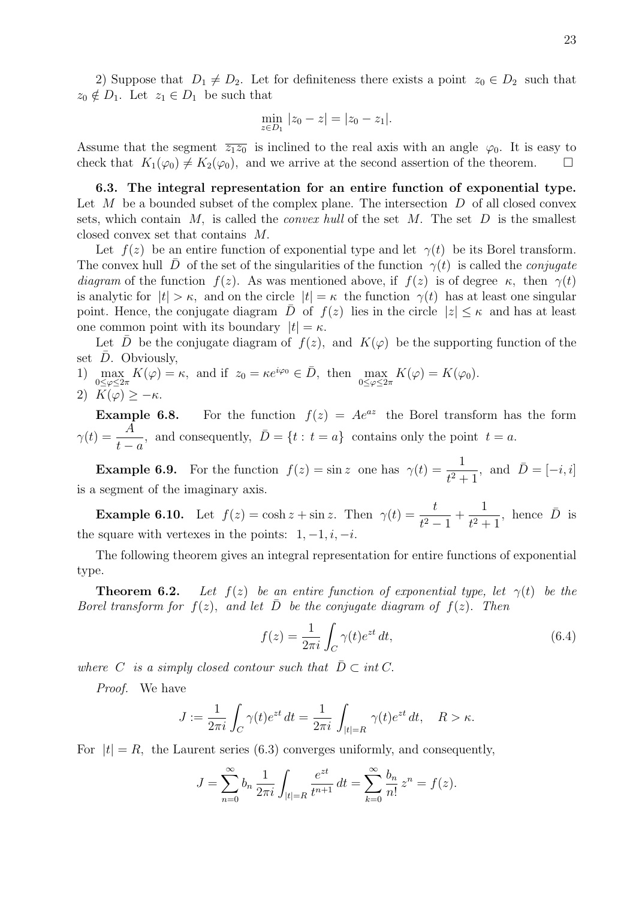2) Suppose that  $D_1 \neq D_2$ . Let for definiteness there exists a point  $z_0 \in D_2$  such that  $z_0 \notin D_1$ . Let  $z_1 \in D_1$  be such that

$$
\min_{z \in D_1} |z_0 - z| = |z_0 - z_1|.
$$

Assume that the segment  $\overline{z_1z_0}$  is inclined to the real axis with an angle  $\varphi_0$ . It is easy to check that  $K_1(\varphi_0) \neq K_2(\varphi_0)$ , and we arrive at the second assertion of the theorem.

6.3. The integral representation for an entire function of exponential type. Let  $M$  be a bounded subset of the complex plane. The intersection  $D$  of all closed convex sets, which contain M, is called the *convex hull* of the set M. The set D is the smallest closed convex set that contains M.

Let  $f(z)$  be an entire function of exponential type and let  $\gamma(t)$  be its Borel transform. The convex hull  $\bar{D}$  of the set of the singularities of the function  $\gamma(t)$  is called the *conjugate* diagram of the function  $f(z)$ . As was mentioned above, if  $f(z)$  is of degree  $\kappa$ , then  $\gamma(t)$ is analytic for  $|t| > \kappa$ , and on the circle  $|t| = \kappa$  the function  $\gamma(t)$  has at least one singular point. Hence, the conjugate diagram  $\bar{D}$  of  $f(z)$  lies in the circle  $|z| \leq \kappa$  and has at least one common point with its boundary  $|t| = \kappa$ .

Let D be the conjugate diagram of  $f(z)$ , and  $K(\varphi)$  be the supporting function of the set  $D$ . Obviously,

- 1)  $\max_{0 \leq \varphi \leq 2\pi} K(\varphi) = \kappa$ , and if  $z_0 = \kappa e^{i\varphi_0} \in \bar{D}$ , then  $\max_{0 \leq \varphi \leq 2\pi} K(\varphi) = K(\varphi_0)$ .
- 2)  $K(\varphi) \geq -\kappa$ .

**Example 6.8.** For the function  $f(z) = Ae^{az}$  the Borel transform has the form  $\gamma(t) = \frac{A}{t}$  $t - a$ , and consequently,  $\overline{D} = \{t : t = a\}$  contains only the point  $t = a$ .

**Example 6.9.** For the function  $f(z) = \sin z$  one has  $\gamma(t) = \frac{1}{z^2}$  $t^2 + 1$ , and  $\overline{D} = [-i, i]$ is a segment of the imaginary axis.

**Example 6.10.** Let  $f(z) = \cosh z + \sin z$ . Then  $\gamma(t) = \frac{t}{t^2}$  $\frac{c}{t^2-1}$  + 1  $t^2 + 1$ , hence  $\bar{D}$  is the square with vertexes in the points:  $1, -1, i, -i$ .

The following theorem gives an integral representation for entire functions of exponential type.

**Theorem 6.2.** Let  $f(z)$  be an entire function of exponential type, let  $\gamma(t)$  be the Borel transform for  $f(z)$ , and let  $\overline{D}$  be the conjugate diagram of  $f(z)$ . Then

$$
f(z) = \frac{1}{2\pi i} \int_C \gamma(t)e^{zt} dt,
$$
\n(6.4)

where C is a simply closed contour such that  $\overline{D} \subset \text{int } C$ .

Proof. We have

$$
J := \frac{1}{2\pi i} \int_C \gamma(t) e^{zt} dt = \frac{1}{2\pi i} \int_{|t|=R} \gamma(t) e^{zt} dt, \quad R > \kappa.
$$

For  $|t| = R$ , the Laurent series (6.3) converges uniformly, and consequently,

$$
J = \sum_{n=0}^{\infty} b_n \frac{1}{2\pi i} \int_{|t|=R} \frac{e^{zt}}{t^{n+1}} dt = \sum_{k=0}^{\infty} \frac{b_n}{n!} z^n = f(z).
$$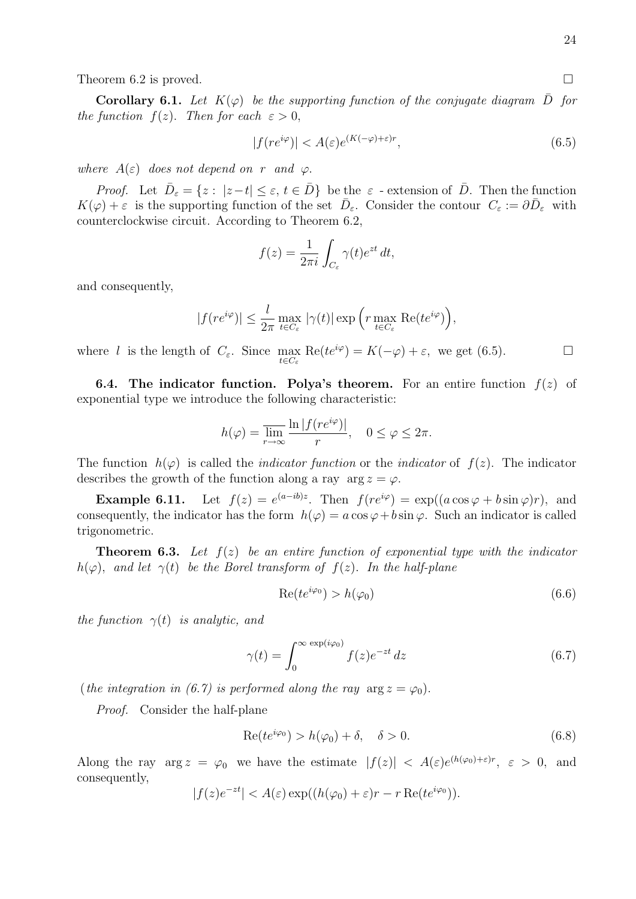Theorem 6.2 is proved.  $\square$ 

**Corollary 6.1.** Let  $K(\varphi)$  be the supporting function of the conjugate diagram  $\overline{D}$  for the function  $f(z)$ . Then for each  $\varepsilon > 0$ ,

$$
|f(re^{i\varphi})| < A(\varepsilon)e^{(K(-\varphi)+\varepsilon)r},\tag{6.5}
$$

where  $A(\varepsilon)$  does not depend on r and  $\varphi$ .

*Proof.* Let  $\bar{D}_{\varepsilon} = \{z : |z - t| \le \varepsilon, t \in \bar{D}\}\)$  be the  $\varepsilon$  - extension of  $\bar{D}$ . Then the function  $K(\varphi) + \varepsilon$  is the supporting function of the set  $\bar{D}_{\varepsilon}$ . Consider the contour  $C_{\varepsilon} := \partial \bar{D}_{\varepsilon}$  with counterclockwise circuit. According to Theorem 6.2,

$$
f(z) = \frac{1}{2\pi i} \int_{C_{\varepsilon}} \gamma(t) e^{zt} dt,
$$

and consequently,

$$
|f(re^{i\varphi})| \leq \frac{l}{2\pi} \max_{t \in C_{\varepsilon}} |\gamma(t)| \exp\left(r \max_{t \in C_{\varepsilon}} \text{Re}(te^{i\varphi})\right),
$$

where *l* is the length of  $C_{\varepsilon}$ . Since  $\max_{t \in C_{\varepsilon}} \text{Re}(te^{i\varphi}) = K(-\varphi) + \varepsilon$ , we get (6.5).

**6.4.** The indicator function. Polya's theorem. For an entire function  $f(z)$  of exponential type we introduce the following characteristic:

$$
h(\varphi) = \overline{\lim_{r \to \infty}} \frac{\ln |f(re^{i\varphi})|}{r}, \quad 0 \le \varphi \le 2\pi.
$$

The function  $h(\varphi)$  is called the *indicator function* or the *indicator* of  $f(z)$ . The indicator describes the growth of the function along a ray  $\arg z = \varphi$ .

**Example 6.11.** Let  $f(z) = e^{(a-ib)z}$ . Then  $f(re^{i\varphi}) = \exp((a\cos\varphi + b\sin\varphi)r)$ , and consequently, the indicator has the form  $h(\varphi) = a \cos \varphi + b \sin \varphi$ . Such an indicator is called trigonometric.

**Theorem 6.3.** Let  $f(z)$  be an entire function of exponential type with the indicator  $h(\varphi)$ , and let  $\gamma(t)$  be the Borel transform of  $f(z)$ . In the half-plane

$$
Re(te^{i\varphi_0}) > h(\varphi_0)
$$
\n<sup>(6.6)</sup>

the function  $\gamma(t)$  is analytic, and

$$
\gamma(t) = \int_0^\infty \frac{\exp(i\varphi_0)}{f(z)e^{-zt}} dz
$$
\n(6.7)

(the integration in (6.7) is performed along the ray  $\arg z = \varphi_0$ ).

Proof. Consider the half-plane

$$
Re(te^{i\varphi_0}) > h(\varphi_0) + \delta, \quad \delta > 0.
$$
\n(6.8)

Along the ray  $\arg z = \varphi_0$  we have the estimate  $|f(z)| < A(\varepsilon)e^{(h(\varphi_0)+\varepsilon)r}$ ,  $\varepsilon > 0$ , and consequently,

$$
|f(z)e^{-zt}| < A(\varepsilon) \exp((h(\varphi_0) + \varepsilon)r - r \operatorname{Re}(te^{i\varphi_0})).
$$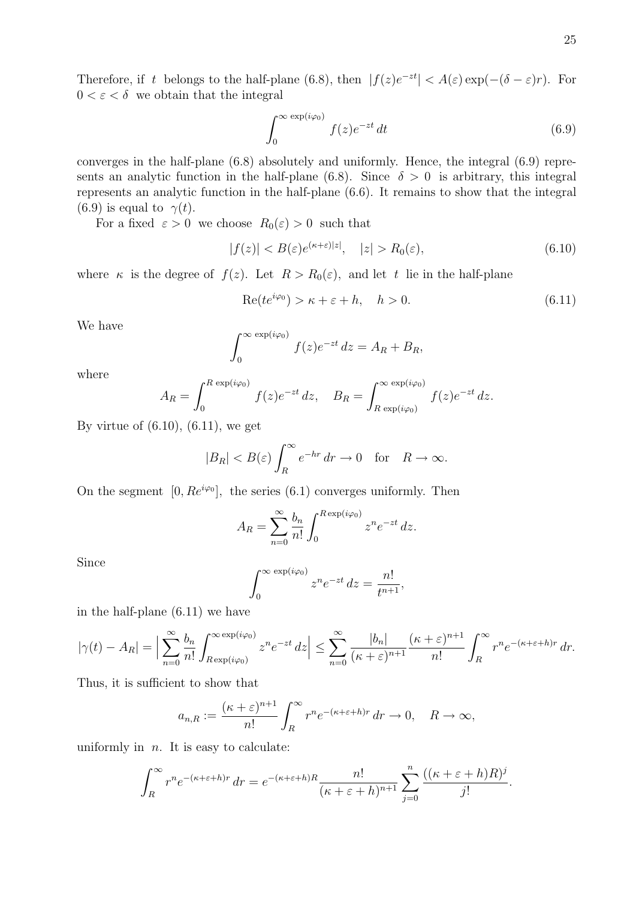Therefore, if t belongs to the half-plane (6.8), then  $|f(z)e^{-zt}| < A(\varepsilon) \exp(-(\delta - \varepsilon)r)$ . For  $0 < \varepsilon < \delta \;$  we obtain that the integral

$$
\int_0^\infty \frac{\exp(i\varphi_0)}{f(z)e^{-zt}} dt
$$
\n(6.9)

converges in the half-plane (6.8) absolutely and uniformly. Hence, the integral (6.9) represents an analytic function in the half-plane (6.8). Since  $\delta > 0$  is arbitrary, this integral represents an analytic function in the half-plane (6.6). It remains to show that the integral (6.9) is equal to  $\gamma(t)$ .

For a fixed  $\varepsilon > 0$  we choose  $R_0(\varepsilon) > 0$  such that

$$
|f(z)| < B(\varepsilon)e^{(\kappa + \varepsilon)|z|}, \quad |z| > R_0(\varepsilon), \tag{6.10}
$$

where  $\kappa$  is the degree of  $f(z)$ . Let  $R > R_0(\varepsilon)$ , and let t lie in the half-plane

$$
Re(te^{i\varphi_0}) > \kappa + \varepsilon + h, \quad h > 0.
$$
\n(6.11)

We have

$$
\int_0^\infty \frac{\exp(i\varphi_0)}{f(z)e^{-zt}} dz = A_R + B_R,
$$

where

$$
A_R = \int_0^{R \exp(i\varphi_0)} f(z)e^{-zt} dz, \quad B_R = \int_{R \exp(i\varphi_0)}^{\infty \exp(i\varphi_0)} f(z)e^{-zt} dz.
$$

By virtue of  $(6.10)$ ,  $(6.11)$ , we get

$$
|B_R| < B(\varepsilon) \int_R^{\infty} e^{-hr} \, dr \to 0 \quad \text{for} \quad R \to \infty.
$$

On the segment  $[0, Re^{i\varphi_0}]$ , the series (6.1) converges uniformly. Then

$$
A_R = \sum_{n=0}^{\infty} \frac{b_n}{n!} \int_0^{R \exp(i\varphi_0)} z^n e^{-zt} dz.
$$

Since

$$
\int_0^\infty \frac{\exp(i\varphi_0)}{z^n e^{-zt}} dz = \frac{n!}{t^{n+1}},
$$

in the half-plane (6.11) we have

$$
|\gamma(t) - A_R| = \Big| \sum_{n=0}^{\infty} \frac{b_n}{n!} \int_{R \exp(i\varphi_0)}^{\infty} z^n e^{-zt} dz \Big| \leq \sum_{n=0}^{\infty} \frac{|b_n|}{(\kappa + \varepsilon)^{n+1}} \frac{(\kappa + \varepsilon)^{n+1}}{n!} \int_R^{\infty} r^n e^{-(\kappa + \varepsilon + h)r} dr.
$$

Thus, it is sufficient to show that

$$
a_{n,R} := \frac{(\kappa + \varepsilon)^{n+1}}{n!} \int_R^{\infty} r^n e^{-(\kappa + \varepsilon + h)r} dr \to 0, \quad R \to \infty,
$$

uniformly in  $n$ . It is easy to calculate:

$$
\int_{R}^{\infty} r^{n} e^{-(\kappa + \varepsilon + h)r} dr = e^{-(\kappa + \varepsilon + h)R} \frac{n!}{(\kappa + \varepsilon + h)^{n+1}} \sum_{j=0}^{n} \frac{((\kappa + \varepsilon + h)R)^{j}}{j!}.
$$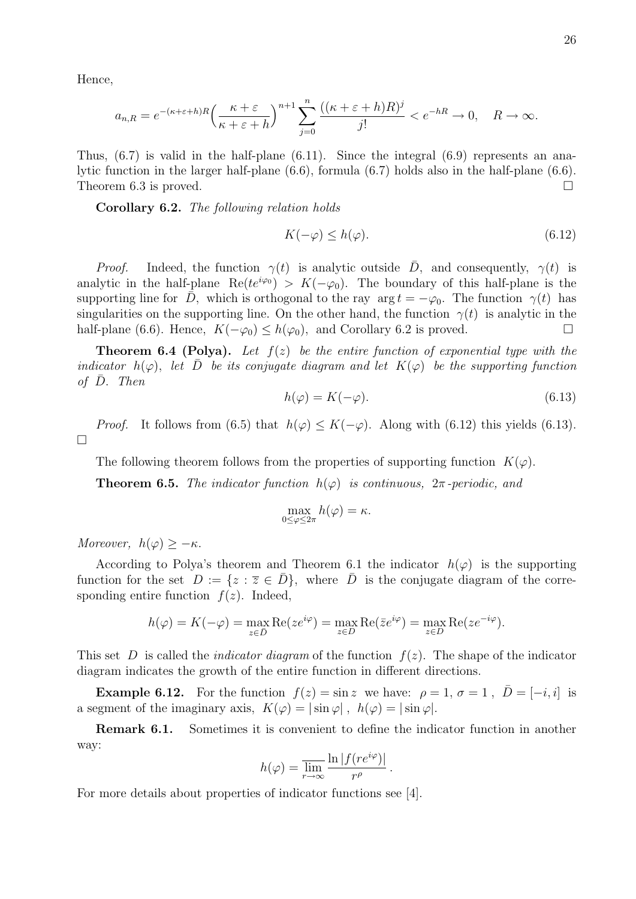Hence,

$$
a_{n,R}=e^{-(\kappa+\varepsilon+h)R}\Big(\frac{\kappa+\varepsilon}{\kappa+\varepsilon+h}\Big)^{n+1}\sum_{j=0}^n\frac{((\kappa+\varepsilon+h)R)^j}{j!}
$$

Thus, (6.7) is valid in the half-plane (6.11). Since the integral (6.9) represents an analytic function in the larger half-plane (6.6), formula (6.7) holds also in the half-plane (6.6). Theorem 6.3 is proved.  $\square$ 

Corollary 6.2. The following relation holds

$$
K(-\varphi) \le h(\varphi). \tag{6.12}
$$

*Proof.* Indeed, the function  $\gamma(t)$  is analytic outside  $\overline{D}$ , and consequently,  $\gamma(t)$  is analytic in the half-plane Re( $te^{i\varphi_0}$ ) >  $K(-\varphi_0)$ . The boundary of this half-plane is the supporting line for  $\bar{D}$ , which is orthogonal to the ray arg  $t = -\varphi_0$ . The function  $\gamma(t)$  has singularities on the supporting line. On the other hand, the function  $\gamma(t)$  is analytic in the half-plane (6.6). Hence,  $K(-\varphi_0) \leq h(\varphi_0)$ , and Corollary 6.2 is proved.

**Theorem 6.4 (Polya).** Let  $f(z)$  be the entire function of exponential type with the indicator  $h(\varphi)$ , let D be its conjugate diagram and let  $K(\varphi)$  be the supporting function of  $\bar{D}$ . Then

$$
h(\varphi) = K(-\varphi). \tag{6.13}
$$

*Proof.* It follows from (6.5) that  $h(\varphi) \leq K(-\varphi)$ . Along with (6.12) this yields (6.13).  $\Box$ 

The following theorem follows from the properties of supporting function  $K(\varphi)$ .

**Theorem 6.5.** The indicator function  $h(\varphi)$  is continuous,  $2\pi$ -periodic, and

$$
\max_{0\leq\varphi\leq2\pi}h(\varphi)=\kappa.
$$

Moreover,  $h(\varphi) \geq -\kappa$ .

According to Polya's theorem and Theorem 6.1 the indicator  $h(\varphi)$  is the supporting function for the set  $D := \{z : \overline{z} \in \overline{D}\}\$ , where  $\overline{D}$  is the conjugate diagram of the corresponding entire function  $f(z)$ . Indeed,

$$
h(\varphi) = K(-\varphi) = \max_{z \in \bar{D}} \text{Re}(ze^{i\varphi}) = \max_{z \in D} \text{Re}(\bar{z}e^{i\varphi}) = \max_{z \in D} \text{Re}(ze^{-i\varphi}).
$$

This set D is called the *indicator diagram* of the function  $f(z)$ . The shape of the indicator diagram indicates the growth of the entire function in different directions.

**Example 6.12.** For the function  $f(z) = \sin z$  we have:  $\rho = 1$ ,  $\sigma = 1$ ,  $D = [-i, i]$  is a segment of the imaginary axis,  $K(\varphi) = |\sin \varphi|$ ,  $h(\varphi) = |\sin \varphi|$ .

Remark 6.1. Sometimes it is convenient to define the indicator function in another way:

$$
h(\varphi) = \overline{\lim_{r \to \infty}} \frac{\ln |f(re^{i\varphi})|}{r^{\rho}}.
$$

For more details about properties of indicator functions see [4].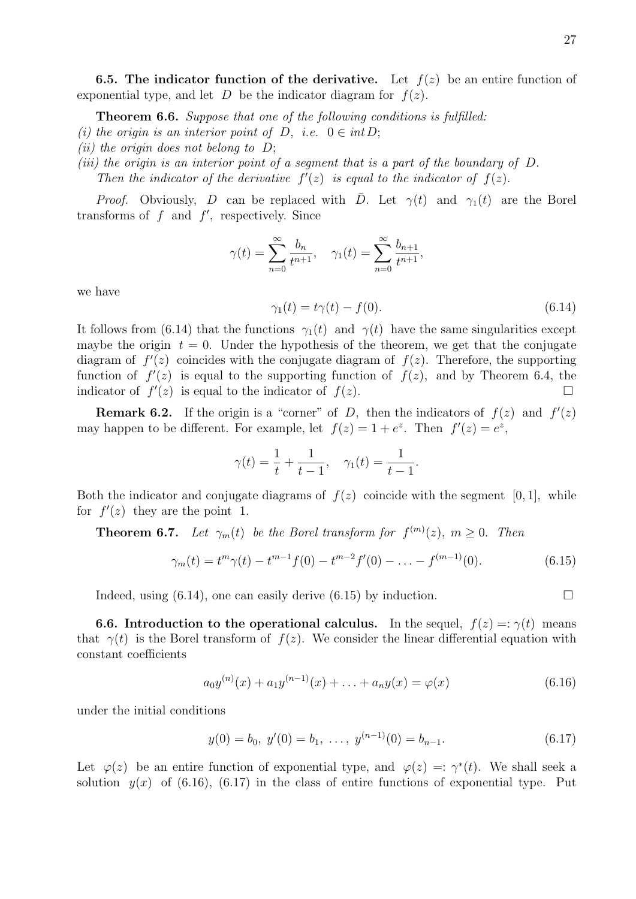**6.5.** The indicator function of the derivative. Let  $f(z)$  be an entire function of exponential type, and let D be the indicator diagram for  $f(z)$ .

**Theorem 6.6.** Suppose that one of the following conditions is fulfilled:

- (i) the origin is an interior point of D, i.e.  $0 \in int D$ ;
- (ii) the origin does not belong to  $D$ ;

(iii) the origin is an interior point of a segment that is a part of the boundary of D.

Then the indicator of the derivative  $f'(z)$  is equal to the indicator of  $f(z)$ .

*Proof.* Obviously, D can be replaced with D. Let  $\gamma(t)$  and  $\gamma_1(t)$  are the Borel transforms of  $f$  and  $f'$ , respectively. Since

$$
\gamma(t) = \sum_{n=0}^{\infty} \frac{b_n}{t^{n+1}}, \quad \gamma_1(t) = \sum_{n=0}^{\infty} \frac{b_{n+1}}{t^{n+1}},
$$

we have

$$
\gamma_1(t) = t\gamma(t) - f(0). \tag{6.14}
$$

It follows from (6.14) that the functions  $\gamma_1(t)$  and  $\gamma(t)$  have the same singularities except maybe the origin  $t = 0$ . Under the hypothesis of the theorem, we get that the conjugate diagram of  $f'(z)$  coincides with the conjugate diagram of  $f(z)$ . Therefore, the supporting function of  $f'(z)$  is equal to the supporting function of  $f(z)$ , and by Theorem 6.4, the indicator of  $f'(z)$  is equal to the indicator of  $f(z)$ .

**Remark 6.2.** If the origin is a "corner" of D, then the indicators of  $f(z)$  and  $f'(z)$ may happen to be different. For example, let  $f(z) = 1 + e^z$ . Then  $f'(z) = e^z$ ,

$$
\gamma(t) = \frac{1}{t} + \frac{1}{t-1}, \quad \gamma_1(t) = \frac{1}{t-1}.
$$

Both the indicator and conjugate diagrams of  $f(z)$  coincide with the segment [0, 1], while for  $f'(z)$  they are the point 1.

**Theorem 6.7.** Let  $\gamma_m(t)$  be the Borel transform for  $f^{(m)}(z)$ ,  $m \geq 0$ . Then

$$
\gamma_m(t) = t^m \gamma(t) - t^{m-1} f(0) - t^{m-2} f'(0) - \dots - f^{(m-1)}(0). \tag{6.15}
$$

Indeed, using (6.14), one can easily derive (6.15) by induction.  $\Box$ 

**6.6. Introduction to the operational calculus.** In the sequel,  $f(z) =: \gamma(t)$  means that  $\gamma(t)$  is the Borel transform of  $f(z)$ . We consider the linear differential equation with constant coefficients

$$
a_0 y^{(n)}(x) + a_1 y^{(n-1)}(x) + \ldots + a_n y(x) = \varphi(x) \tag{6.16}
$$

under the initial conditions

$$
y(0) = b_0, \ y'(0) = b_1, \ \dots, \ y^{(n-1)}(0) = b_{n-1}.
$$
\n
$$
(6.17)
$$

Let  $\varphi(z)$  be an entire function of exponential type, and  $\varphi(z) = \varphi^*(t)$ . We shall seek a solution  $y(x)$  of (6.16), (6.17) in the class of entire functions of exponential type. Put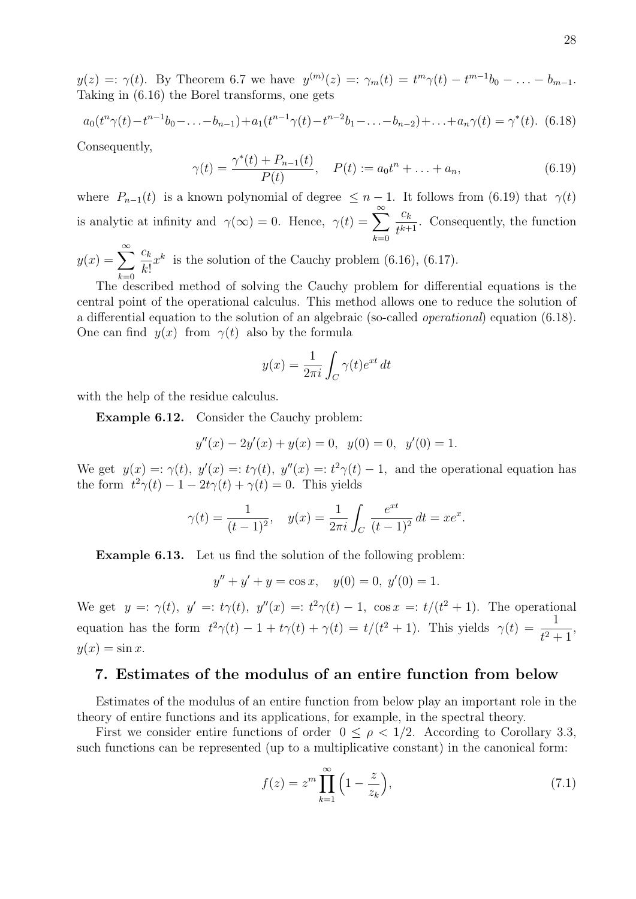$y(z) =: \gamma(t)$ . By Theorem 6.7 we have  $y^{(m)}(z) =: \gamma_m(t) = t^m \gamma(t) - t^{m-1} b_0 - \ldots - b_{m-1}$ . Taking in (6.16) the Borel transforms, one gets

$$
a_0(t^n\gamma(t) - t^{n-1}b_0 - \ldots - b_{n-1}) + a_1(t^{n-1}\gamma(t) - t^{n-2}b_1 - \ldots - b_{n-2}) + \ldots + a_n\gamma(t) = \gamma^*(t). \tag{6.18}
$$

Consequently,

$$
\gamma(t) = \frac{\gamma^*(t) + P_{n-1}(t)}{P(t)}, \quad P(t) := a_0 t^n + \dots + a_n,
$$
\n(6.19)

where  $P_{n-1}(t)$  is a known polynomial of degree  $\leq n-1$ . It follows from (6.19) that  $\gamma(t)$ is analytic at infinity and  $\gamma(\infty) = 0$ . Hence,  $\gamma(t) = \sum_{k=0}^{\infty}$  $k=0$  $c_k$  $\frac{\epsilon_k}{t^{k+1}}$ . Consequently, the function  $c_k$ 

 $y(x) = \sum_{n=0}^{\infty}$  $_{k=0}$  $k!$  $x^k$  is the solution of the Cauchy problem (6.16), (6.17).

The described method of solving the Cauchy problem for differential equations is the central point of the operational calculus. This method allows one to reduce the solution of a differential equation to the solution of an algebraic (so-called operational) equation (6.18). One can find  $y(x)$  from  $\gamma(t)$  also by the formula

$$
y(x) = \frac{1}{2\pi i} \int_C \gamma(t)e^{xt} dt
$$

with the help of the residue calculus.

Example 6.12. Consider the Cauchy problem:

$$
y''(x) - 2y'(x) + y(x) = 0, \ y(0) = 0, \ y'(0) = 1.
$$

We get  $y(x) =: \gamma(t), y'(x) =: t\gamma(t), y''(x) =: t^2\gamma(t) - 1$ , and the operational equation has the form  $t^2\gamma(t) - 1 - 2t\gamma(t) + \gamma(t) = 0$ . This yields

$$
\gamma(t) = \frac{1}{(t-1)^2}
$$
,  $y(x) = \frac{1}{2\pi i} \int_C \frac{e^{xt}}{(t-1)^2} dt = xe^x$ .

Example 6.13. Let us find the solution of the following problem:

 $y'' + y' + y = \cos x$ ,  $y(0) = 0$ ,  $y'(0) = 1$ .

We get  $y =: \gamma(t)$ ,  $y' =: t\gamma(t)$ ,  $y''(x) =: t^2\gamma(t) - 1$ ,  $\cos x =: t/(t^2 + 1)$ . The operational equation has the form  $t^2\gamma(t) - 1 + t\gamma(t) + \gamma(t) = t/(t^2 + 1)$ . This yields  $\gamma(t) = \frac{1}{t^2}$  $\frac{1}{t^2+1}$ ,  $y(x) = \sin x.$ 

## 7. Estimates of the modulus of an entire function from below

Estimates of the modulus of an entire function from below play an important role in the theory of entire functions and its applications, for example, in the spectral theory.

First we consider entire functions of order  $0 \leq \rho < 1/2$ . According to Corollary 3.3, such functions can be represented (up to a multiplicative constant) in the canonical form:

$$
f(z) = z^m \prod_{k=1}^{\infty} \left( 1 - \frac{z}{z_k} \right),\tag{7.1}
$$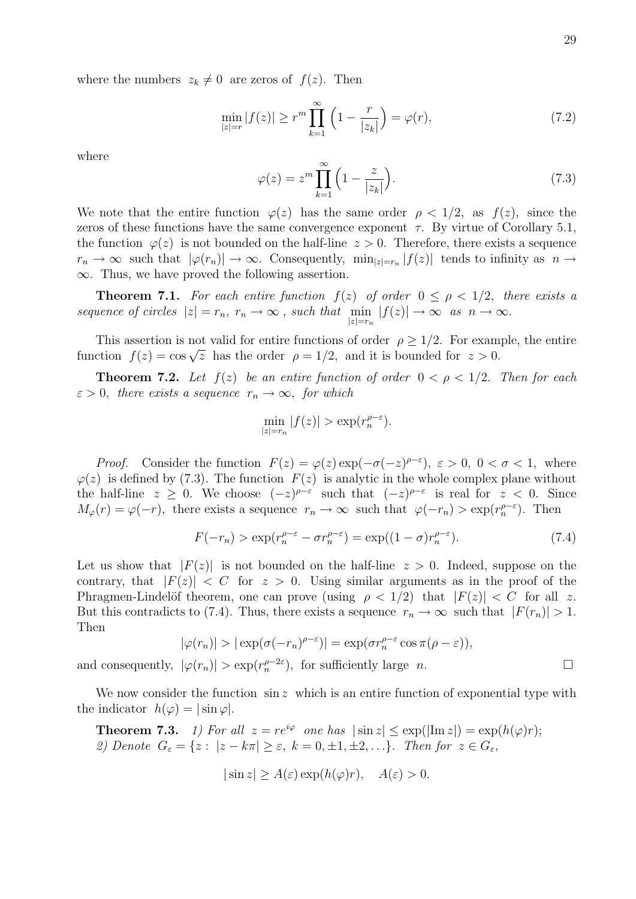where the numbers  $z_k \neq 0$  are zeros of  $f(z)$ . Then

$$
\min_{|z|=r} |f(z)| \ge r^m \prod_{k=1}^{\infty} \left(1 - \frac{r}{|z_k|}\right) = \varphi(r),\tag{7.2}
$$

where

$$
\varphi(z) = z^m \prod_{k=1}^{\infty} \left( 1 - \frac{z}{|z_k|} \right). \tag{7.3}
$$

We note that the entire function  $\varphi(z)$  has the same order  $\rho < 1/2$ , as  $f(z)$ , since the zeros of these functions have the same convergence exponent  $\tau$ . By virtue of Corollary 5.1, the function  $\varphi(z)$  is not bounded on the half-line  $z > 0$ . Therefore, there exists a sequence  $r_n \to \infty$  such that  $|\varphi(r_n)| \to \infty$ . Consequently,  $\min_{|z|=r_n} |f(z)|$  tends to infinity as  $n \to \infty$  $\infty$ . Thus, we have proved the following assertion.

**Theorem 7.1.** For each entire function  $f(z)$  of order  $0 \leq \rho < 1/2$ , there exists a sequence of circles  $|z| = r_n$ ,  $r_n \to \infty$ , such that  $\min_{|z|=r_n} |f(z)| \to \infty$  as  $n \to \infty$ .

This assertion is not valid for entire functions of order  $\rho \geq 1/2$ . For example, the entire function f(z) = cos  $\sqrt{z}$  has the order  $\rho = 1/2$ , and it is bounded for  $z > 0$ .

**Theorem 7.2.** Let  $f(z)$  be an entire function of order  $0 < \rho < 1/2$ . Then for each  $\varepsilon > 0$ , there exists a sequence  $r_n \to \infty$ , for which

$$
\min_{|z|=r_n} |f(z)| > \exp(r_n^{\rho-\varepsilon}).
$$

*Proof.* Consider the function  $F(z) = \varphi(z) \exp(-\sigma(-z)^{\rho-\varepsilon}), \ \varepsilon > 0, \ 0 < \sigma < 1,$  where  $\varphi(z)$  is defined by (7.3). The function  $F(z)$  is analytic in the whole complex plane without the half-line  $z \geq 0$ . We choose  $(-z)^{\rho-\varepsilon}$  such that  $(-z)^{\rho-\varepsilon}$  is real for  $z < 0$ . Since  $M_{\varphi}(r) = \varphi(-r)$ , there exists a sequence  $r_n \to \infty$  such that  $\varphi(-r_n) > \exp(r_n^{\rho-\varepsilon})$ . Then

$$
F(-r_n) > \exp(r_n^{\rho-\varepsilon} - \sigma r_n^{\rho-\varepsilon}) = \exp((1-\sigma)r_n^{\rho-\varepsilon}).
$$
\n(7.4)

Let us show that  $|F(z)|$  is not bounded on the half-line  $z > 0$ . Indeed, suppose on the contrary, that  $|F(z)| < C$  for  $z > 0$ . Using similar arguments as in the proof of the Phragmen-Lindelöf theorem, one can prove (using  $\rho < 1/2$ ) that  $|F(z)| < C$  for all z. But this contradicts to (7.4). Thus, there exists a sequence  $r_n \to \infty$  such that  $|F(r_n)| > 1$ . Then

$$
|\varphi(r_n)| > |\exp(\sigma(-r_n)^{\rho-\varepsilon})| = \exp(\sigma r_n^{\rho-\varepsilon} \cos \pi (\rho-\varepsilon)),
$$

and consequently,  $|\varphi(r_n)| > \exp(r_n^{\rho-2\varepsilon})$ , for sufficiently large *n*.

We now consider the function  $\sin z$  which is an entire function of exponential type with the indicator  $h(\varphi) = |\sin \varphi|$ .

**Theorem 7.3.** 1) For all 
$$
z = re^{i\varphi}
$$
 one has  $|\sin z| \le \exp(|\text{Im } z|) = \exp(h(\varphi)r);$   
2) Denote  $G_{\varepsilon} = \{z : |z - k\pi| \ge \varepsilon, k = 0, \pm 1, \pm 2, ...\}$ . Then for  $z \in G_{\varepsilon}$ ,

$$
|\sin z| \ge A(\varepsilon) \exp(h(\varphi)r), \quad A(\varepsilon) > 0.
$$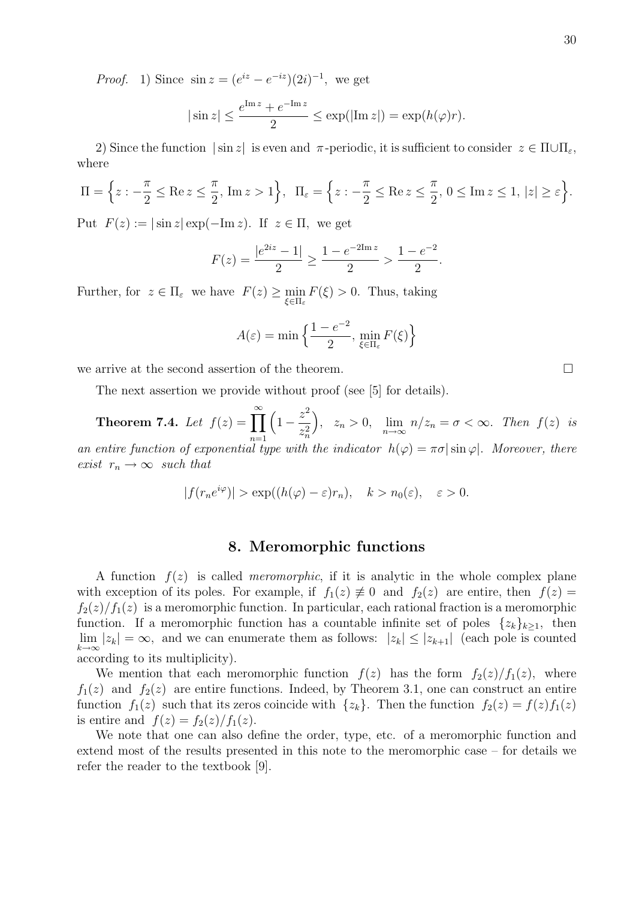*Proof.* 1) Since  $\sin z = (e^{iz} - e^{-iz})(2i)^{-1}$ , we get

$$
|\sin z| \le \frac{e^{\text{Im } z} + e^{-\text{Im } z}}{2} \le \exp(|\text{Im } z|) = \exp(h(\varphi)r).
$$

2) Since the function  $|\sin z|$  is even and  $\pi$ -periodic, it is sufficient to consider  $z \in \Pi \cup \Pi_{\varepsilon}$ , where

$$
\Pi = \left\{ z : -\frac{\pi}{2} \le \text{Re } z \le \frac{\pi}{2}, \text{ Im } z > 1 \right\}, \ \ \Pi_{\varepsilon} = \left\{ z : -\frac{\pi}{2} \le \text{Re } z \le \frac{\pi}{2}, \ 0 \le \text{Im } z \le 1, \ |z| \ge \varepsilon \right\}.
$$

Put  $F(z) := |\sin z| \exp(-\mathrm{Im} z)$ . If  $z \in \Pi$ , we get

$$
F(z) = \frac{|e^{2iz} - 1|}{2} \ge \frac{1 - e^{-2\text{Im} z}}{2} > \frac{1 - e^{-2}}{2}.
$$

Further, for  $z \in \Pi_{\varepsilon}$  we have  $F(z) \ge \min_{\xi \in \Pi_{\varepsilon}} F(\xi) > 0$ . Thus, taking

$$
A(\varepsilon) = \min\Big\{\frac{1 - e^{-2}}{2}, \min_{\xi \in \Pi_{\varepsilon}} F(\xi)\Big\}
$$

we arrive at the second assertion of the theorem.

The next assertion we provide without proof (see [5] for details).

Theorem 7.4. Let  $f(z) = \prod^{\infty}$  $n=1$  $\left(1-\frac{z^2}{2}\right)$  $z_n^2$  $\Big), z_n > 0, \lim_{n \to \infty} n/z_n = \sigma < \infty.$  Then  $f(z)$  is an entire function of exponential type with the indicator  $h(\varphi) = \pi \sigma |\sin \varphi|$ . Moreover, there

exist  $r_n \to \infty$  such that

$$
|f(r_n e^{i\varphi})| > \exp((h(\varphi) - \varepsilon)r_n), \quad k > n_0(\varepsilon), \quad \varepsilon > 0.
$$

## 8. Meromorphic functions

A function  $f(z)$  is called *meromorphic*, if it is analytic in the whole complex plane with exception of its poles. For example, if  $f_1(z) \neq 0$  and  $f_2(z)$  are entire, then  $f(z) =$  $f_2(z)/f_1(z)$  is a meromorphic function. In particular, each rational fraction is a meromorphic function. If a meromorphic function has a countable infinite set of poles  $\{z_k\}_{k>1}$ , then  $\lim_{k\to\infty} |z_k| = \infty$ , and we can enumerate them as follows:  $|z_k| \le |z_{k+1}|$  (each pole is counted according to its multiplicity).

We mention that each meromorphic function  $f(z)$  has the form  $f_2(z)/f_1(z)$ , where  $f_1(z)$  and  $f_2(z)$  are entire functions. Indeed, by Theorem 3.1, one can construct an entire function  $f_1(z)$  such that its zeros coincide with  $\{z_k\}$ . Then the function  $f_2(z) = f(z)f_1(z)$ is entire and  $f(z) = f_2(z)/f_1(z)$ .

We note that one can also define the order, type, etc. of a meromorphic function and extend most of the results presented in this note to the meromorphic case – for details we refer the reader to the textbook [9].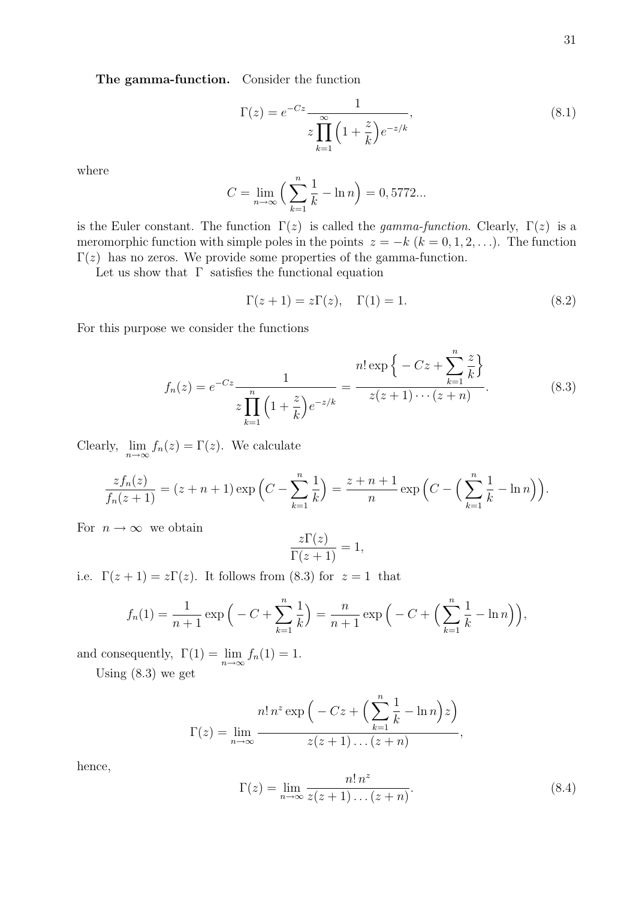The gamma-function. Consider the function

$$
\Gamma(z) = e^{-Cz} \frac{1}{z \prod_{k=1}^{\infty} \left(1 + \frac{z}{k}\right) e^{-z/k}},\tag{8.1}
$$

where

$$
C = \lim_{n \to \infty} \left( \sum_{k=1}^{n} \frac{1}{k} - \ln n \right) = 0,5772...
$$

is the Euler constant. The function  $\Gamma(z)$  is called the *gamma-function*. Clearly,  $\Gamma(z)$  is a meromorphic function with simple poles in the points  $z = -k$  ( $k = 0, 1, 2, \ldots$ ). The function  $\Gamma(z)$  has no zeros. We provide some properties of the gamma-function.

Let us show that  $\Gamma$  satisfies the functional equation

$$
\Gamma(z+1) = z\Gamma(z), \quad \Gamma(1) = 1.
$$
\n(8.2)

For this purpose we consider the functions

$$
f_n(z) = e^{-Cz} \frac{1}{z \prod_{k=1}^n \left(1 + \frac{z}{k}\right) e^{-z/k}} = \frac{n! \exp\left\{-Cz + \sum_{k=1}^n \frac{z}{k}\right\}}{z(z+1)\cdots(z+n)}.
$$
(8.3)

Clearly,  $\lim_{n\to\infty} f_n(z) = \Gamma(z)$ . We calculate

$$
\frac{zf_n(z)}{f_n(z+1)} = (z+n+1)\exp\left(C - \sum_{k=1}^n \frac{1}{k}\right) = \frac{z+n+1}{n}\exp\left(C - \left(\sum_{k=1}^n \frac{1}{k} - \ln n\right)\right).
$$

For  $n \to \infty$  we obtain

$$
\frac{z\Gamma(z)}{\Gamma(z+1)} = 1,
$$

i.e.  $\Gamma(z+1) = z\Gamma(z)$ . It follows from (8.3) for  $z = 1$  that

$$
f_n(1) = \frac{1}{n+1} \exp\left(-C + \sum_{k=1}^n \frac{1}{k}\right) = \frac{n}{n+1} \exp\left(-C + \left(\sum_{k=1}^n \frac{1}{k} - \ln n\right)\right),
$$

and consequently,  $\Gamma(1) = \lim_{n \to \infty} f_n(1) = 1$ .

Using (8.3) we get

$$
\Gamma(z) = \lim_{n \to \infty} \frac{n! \, n^z \exp\left(-Cz + \left(\sum_{k=1}^n \frac{1}{k} - \ln n\right)z\right)}{z(z+1)\dots(z+n)},
$$

hence,

$$
\Gamma(z) = \lim_{n \to \infty} \frac{n! \, n^z}{z(z+1) \dots (z+n)}.
$$
\n(8.4)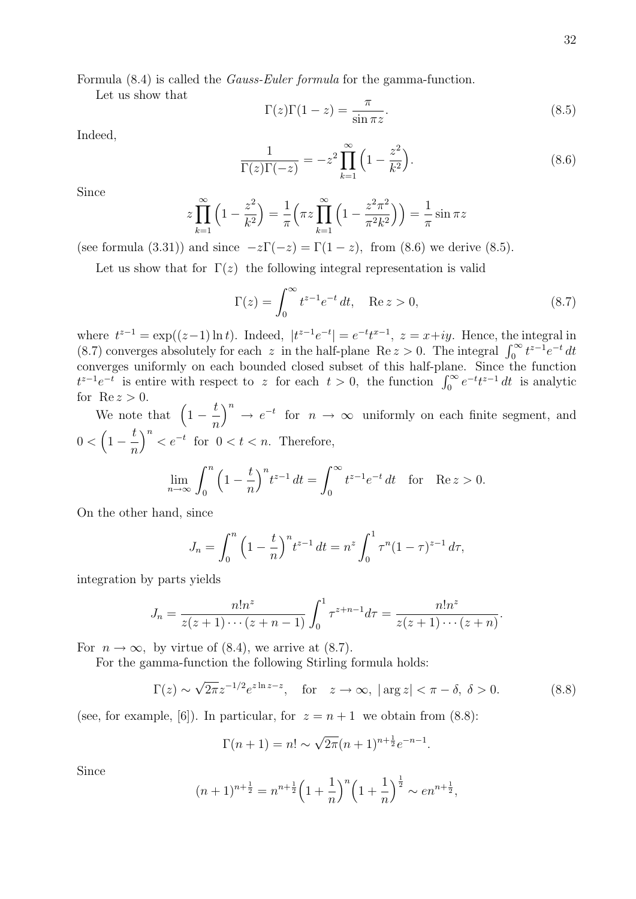Let us show that

$$
\Gamma(z)\Gamma(1-z) = \frac{\pi}{\sin \pi z}.\tag{8.5}
$$

Indeed,

$$
\frac{1}{\Gamma(z)\Gamma(-z)} = -z^2 \prod_{k=1}^{\infty} \left(1 - \frac{z^2}{k^2}\right).
$$
\n(8.6)

Since

$$
z\prod_{k=1}^{\infty} \left(1 - \frac{z^2}{k^2}\right) = \frac{1}{\pi} \left(\pi z \prod_{k=1}^{\infty} \left(1 - \frac{z^2 \pi^2}{\pi^2 k^2}\right)\right) = \frac{1}{\pi} \sin \pi z
$$

(see formula (3.31)) and since  $-z\Gamma(-z) = \Gamma(1-z)$ , from (8.6) we derive (8.5).

Let us show that for  $\Gamma(z)$  the following integral representation is valid

$$
\Gamma(z) = \int_0^\infty t^{z-1} e^{-t} dt, \quad \text{Re } z > 0,
$$
\n(8.7)

where  $t^{z-1} = \exp((z-1)\ln t)$ . Indeed,  $|t^{z-1}e^{-t}| = e^{-t}t^{x-1}$ ,  $z = x+iy$ . Hence, the integral in (8.7) converges absolutely for each z in the half-plane Re  $z > 0$ . The integral  $\int_0^\infty t^{z-1} e^{-t} dt$ converges uniformly on each bounded closed subset of this half-plane. Since the function  $t^{z-1}e^{-t}$  is entire with respect to z for each  $t > 0$ , the function  $\int_0^\infty e^{-t}t^{z-1} dt$  is analytic for  $\text{Re } z > 0$ .

We note that  $\left(1-\frac{t}{t}\right)$ n  $\int^n \to e^{-t}$  for  $n \to \infty$  uniformly on each finite segment, and  $0 < \left(1 - \frac{t}{t}\right)$ n  $\int_{0}^{n} < e^{-t}$  for  $0 < t < n$ . Therefore,

$$
\lim_{n \to \infty} \int_0^n \left(1 - \frac{t}{n}\right)^n t^{z-1} dt = \int_0^\infty t^{z-1} e^{-t} dt \text{ for } \text{Re } z > 0.
$$

On the other hand, since

$$
J_n = \int_0^n \left(1 - \frac{t}{n}\right)^n t^{z-1} dt = n^z \int_0^1 \tau^n (1 - \tau)^{z-1} d\tau,
$$

integration by parts yields

$$
J_n = \frac{n!n^z}{z(z+1)\cdots(z+n-1)} \int_0^1 \tau^{z+n-1} d\tau = \frac{n!n^z}{z(z+1)\cdots(z+n)}
$$

For  $n \to \infty$ , by virtue of (8.4), we arrive at (8.7).

For the gamma-function the following Stirling formula holds:

$$
\Gamma(z) \sim \sqrt{2\pi} z^{-1/2} e^{z \ln z - z}, \quad \text{for} \quad z \to \infty, \ |\arg z| < \pi - \delta, \ \delta > 0. \tag{8.8}
$$

.

(see, for example, [6]). In particular, for  $z = n + 1$  we obtain from (8.8):

$$
\Gamma(n+1) = n! \sim \sqrt{2\pi}(n+1)^{n+\frac{1}{2}}e^{-n-1}.
$$

Since

$$
(n+1)^{n+\frac{1}{2}} = n^{n+\frac{1}{2}} \left( 1 + \frac{1}{n} \right)^n \left( 1 + \frac{1}{n} \right)^{\frac{1}{2}} \sim en^{n+\frac{1}{2}},
$$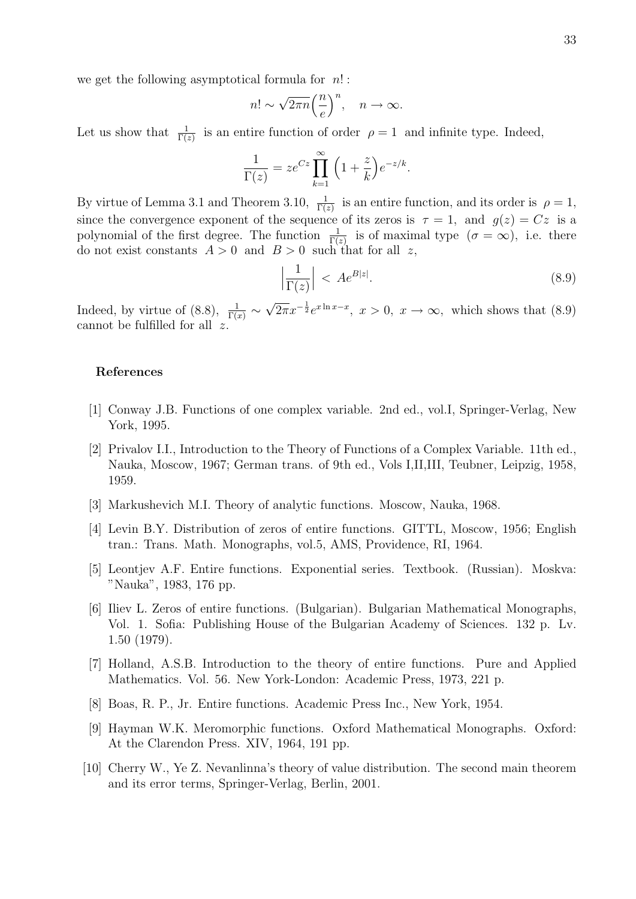we get the following asymptotical formula for  $n!$ :

$$
n! \sim \sqrt{2\pi n} \left(\frac{n}{e}\right)^n, \quad n \to \infty.
$$

Let us show that  $\frac{1}{\Gamma(z)}$  is an entire function of order  $\rho = 1$  and infinite type. Indeed,

$$
\frac{1}{\Gamma(z)} = ze^{Cz} \prod_{k=1}^{\infty} \left(1 + \frac{z}{k}\right) e^{-z/k}.
$$

By virtue of Lemma 3.1 and Theorem 3.10,  $\frac{1}{\Gamma(z)}$  is an entire function, and its order is  $\rho = 1$ , since the convergence exponent of the sequence of its zeros is  $\tau = 1$ , and  $g(z) = Cz$  is a polynomial of the first degree. The function  $\frac{1}{\Gamma(z)}$  is of maximal type  $(\sigma = \infty)$ , i.e. there do not exist constants  $A > 0$  and  $B > 0$  such that for all z,

$$
\left|\frac{1}{\Gamma(z)}\right| < A e^{B|z|}.\tag{8.9}
$$

Indeed, by virtue of (8.8),  $\frac{1}{\Gamma(x)} \sim$  $\sqrt{2\pi}x^{-\frac{1}{2}}e^{x\ln x-x}$ ,  $x>0$ ,  $x\to\infty$ , which shows that (8.9) cannot be fulfilled for all z.

#### References

- [1] Conway J.B. Functions of one complex variable. 2nd ed., vol.I, Springer-Verlag, New York, 1995.
- [2] Privalov I.I., Introduction to the Theory of Functions of a Complex Variable. 11th ed., Nauka, Moscow, 1967; German trans. of 9th ed., Vols I,II,III, Teubner, Leipzig, 1958, 1959.
- [3] Markushevich M.I. Theory of analytic functions. Moscow, Nauka, 1968.
- [4] Levin B.Y. Distribution of zeros of entire functions. GITTL, Moscow, 1956; English tran.: Trans. Math. Monographs, vol.5, AMS, Providence, RI, 1964.
- [5] Leontjev A.F. Entire functions. Exponential series. Textbook. (Russian). Moskva: "Nauka", 1983, 176 pp.
- [6] Iliev L. Zeros of entire functions. (Bulgarian). Bulgarian Mathematical Monographs, Vol. 1. Sofia: Publishing House of the Bulgarian Academy of Sciences. 132 p. Lv. 1.50 (1979).
- [7] Holland, A.S.B. Introduction to the theory of entire functions. Pure and Applied Mathematics. Vol. 56. New York-London: Academic Press, 1973, 221 p.
- [8] Boas, R. P., Jr. Entire functions. Academic Press Inc., New York, 1954.
- [9] Hayman W.K. Meromorphic functions. Oxford Mathematical Monographs. Oxford: At the Clarendon Press. XIV, 1964, 191 pp.
- [10] Cherry W., Ye Z. Nevanlinna's theory of value distribution. The second main theorem and its error terms, Springer-Verlag, Berlin, 2001.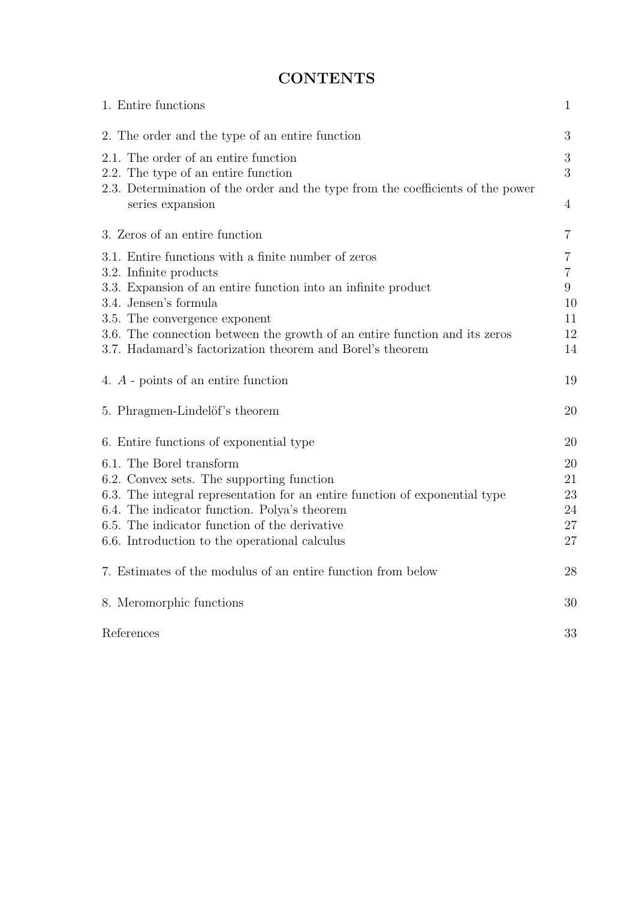# **CONTENTS**

| 1. Entire functions                                                                                 | $\mathbf{1}$   |
|-----------------------------------------------------------------------------------------------------|----------------|
| 2. The order and the type of an entire function                                                     | 3              |
| 2.1. The order of an entire function<br>2.2. The type of an entire function                         | 3<br>3         |
| 2.3. Determination of the order and the type from the coefficients of the power<br>series expansion | $\overline{4}$ |
| 3. Zeros of an entire function                                                                      | $\overline{7}$ |
| 3.1. Entire functions with a finite number of zeros                                                 | 7              |
| 3.2. Infinite products                                                                              | $\overline{7}$ |
| 3.3. Expansion of an entire function into an infinite product<br>3.4. Jensen's formula              | $9\phantom{.}$ |
| 3.5. The convergence exponent                                                                       | 10<br>11       |
| 3.6. The connection between the growth of an entire function and its zeros                          | 12             |
| 3.7. Hadamard's factorization theorem and Borel's theorem                                           | 14             |
| 4. A - points of an entire function                                                                 | 19             |
| 5. Phragmen-Lindelöf's theorem                                                                      | 20             |
| 6. Entire functions of exponential type                                                             | 20             |
| 6.1. The Borel transform                                                                            | 20             |
| 6.2. Convex sets. The supporting function                                                           | 21             |
| 6.3. The integral representation for an entire function of exponential type                         | 23             |
| 6.4. The indicator function. Polya's theorem                                                        | 24             |
| 6.5. The indicator function of the derivative                                                       | 27             |
| 6.6. Introduction to the operational calculus                                                       | 27             |
| 7. Estimates of the modulus of an entire function from below                                        | 28             |
| 8. Meromorphic functions                                                                            | 30             |
| References                                                                                          | 33             |